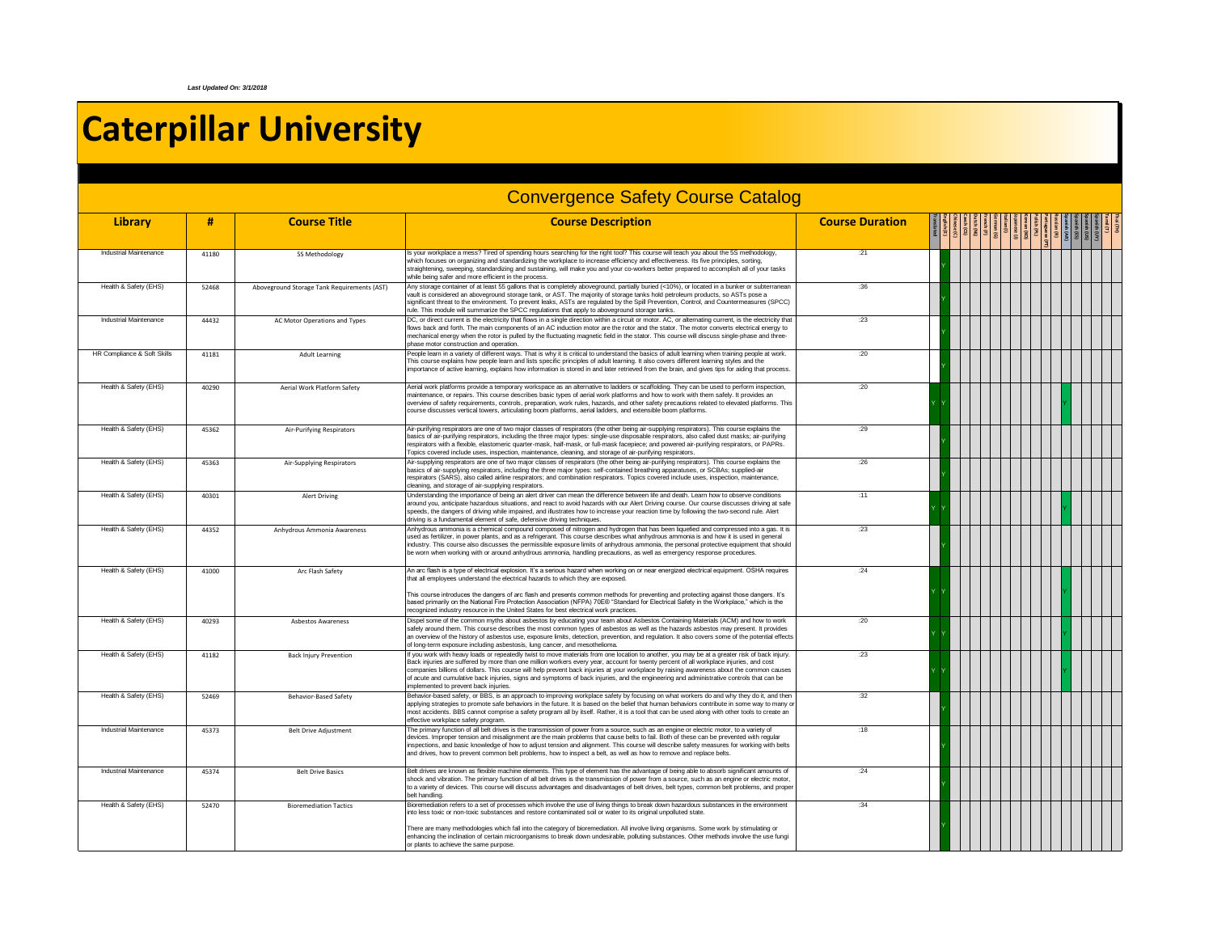## **Caterpillar University**

|                               |       |                                             | <b>Convergence Safety Course Catalog</b>                                                                                                                                                                                                                                                                                                                                                                                                                                                                                                                                                                                 |                        |  |  |  |                                             |  |
|-------------------------------|-------|---------------------------------------------|--------------------------------------------------------------------------------------------------------------------------------------------------------------------------------------------------------------------------------------------------------------------------------------------------------------------------------------------------------------------------------------------------------------------------------------------------------------------------------------------------------------------------------------------------------------------------------------------------------------------------|------------------------|--|--|--|---------------------------------------------|--|
| Library                       | #     | <b>Course Title</b>                         | <b>Course Description</b>                                                                                                                                                                                                                                                                                                                                                                                                                                                                                                                                                                                                | <b>Course Duration</b> |  |  |  | UY)<br>(ES)<br>(ES)<br>(ES)<br>(ES)<br>(ES) |  |
| Industrial Maintenance        | 41180 | 5S Methodology                              | Is your workplace a mess? Tired of spending hours searching for the right tool? This course will teach you about the 5S methodology,<br>which focuses on organizing and standardizing the workplace to increase efficiency and effectiveness. Its five principles, sorting,<br>straightening, sweeping, standardizing and sustaining, will make you and your co-workers better prepared to accomplish all of your tasks<br>while being safer and more efficient in the process.                                                                                                                                          | :21                    |  |  |  |                                             |  |
| Health & Safety (EHS)         | 52468 | Aboveground Storage Tank Requirements (AST) | Any storage container of at least 55 gallons that is completely aboveground, partially buried (<10%), or located in a bunker or subterranean<br>vault is considered an aboveground storage tank, or AST. The maiority of storage tanks hold petroleum products, so ASTs pose a<br>significant threat to the environment. To prevent leaks, ASTs are regulated by the Spill Prevention, Control, and Countermeasures (SPCC)<br>rule. This module will summarize the SPCC regulations that apply to aboveground storage tanks.                                                                                             | :36                    |  |  |  |                                             |  |
| <b>Industrial Maintenance</b> | 44432 | AC Motor Operations and Types               | DC, or direct current is the electricity that flows in a single direction within a circuit or motor. AC, or alternating current, is the electricity that<br>flows back and forth. The main components of an AC induction motor are the rotor and the stator. The motor converts electrical energy to<br>mechanical energy when the rotor is pulled by the fluctuating magnetic field in the stator. This course will discuss single-phase and three-<br>phase motor construction and operation.                                                                                                                          | : 23                   |  |  |  |                                             |  |
| HR Compliance & Soft Skills   | 41181 | <b>Adult Learning</b>                       | People learn in a variety of different ways. That is why it is critical to understand the basics of adult learning when training people at work.<br>This course explains how people learn and lists specific principles of adult learning. It also covers different learning styles and the<br>importance of active learning, explains how information is stored in and later retrieved from the brain, and gives tips for aiding that process.                                                                                                                                                                          | :20                    |  |  |  |                                             |  |
| Health & Safety (EHS)         | 40290 | Aerial Work Platform Safety                 | Aerial work platforms provide a temporary workspace as an alternative to ladders or scaffolding. They can be used to perform inspection.<br>maintenance, or repairs. This course describes basic types of aerial work platforms and how to work with them safely. It provides an<br>overview of safety requirements, controls, preparation, work rules, hazards, and other safety precautions related to elevated platforms. This<br>course discusses vertical towers, articulating boom platforms, aerial ladders, and extensible boom platforms.                                                                       | :20                    |  |  |  |                                             |  |
| Health & Safety (EHS)         | 45362 | Air-Purifying Respirators                   | Air-purifying respirators are one of two major classes of respirators (the other being air-supplying respirators). This course explains the<br>basics of air-purifying respirators, including the three major types: single-use disposable respirators, also called dust masks; air-purifying<br>respirators with a flexible, elastomeric quarter-mask, half-mask, or full-mask facepiece; and powered air-purifying respirators, or PAPRs.<br>Topics covered include uses, inspection, maintenance, cleaning, and storage of air-purifying respirators.                                                                 | :29                    |  |  |  |                                             |  |
| Health & Safety (EHS)         | 45363 | Air-Supplying Respirators                   | Air-supplying respirators are one of two major classes of respirators (the other being air-purifying respirators). This course explains the<br>basics of air-supplying respirators, including the three major types; self-contained breathing apparatuses, or SCBAs; supplied-air<br>respirators (SARS), also called airline respirators; and combination respirators. Topics covered include uses, inspection, maintenance,<br>cleaning, and storage of air-supplying respirators.                                                                                                                                      | :26                    |  |  |  |                                             |  |
| Health & Safety (EHS)         | 40301 | <b>Alert Driving</b>                        | Understanding the importance of being an alert driver can mean the difference between life and death. Learn how to observe conditions<br>around you, anticipate hazardous situations, and react to avoid hazards with our Alert Driving course. Our course discusses driving at safe<br>speeds, the dangers of driving while impaired, and illustrates how to increase your reaction time by following the two-second rule. Alert<br>driving is a fundamental element of safe, defensive driving techniques.                                                                                                             | : 11                   |  |  |  |                                             |  |
| Health & Safety (EHS)         | 44352 | Anhydrous Ammonia Awareness                 | Anhydrous ammonia is a chemical compound composed of nitrogen and hydrogen that has been liquefied and compressed into a gas. It is<br>used as fertilizer, in power plants, and as a refrigerant. This course describes what anhydrous ammonia is and how it is used in general<br>industry. This course also discusses the permissible exposure limits of anhydrous ammonia, the personal protective equipment that should<br>be worn when working with or around anhydrous ammonia, handling precautions, as well as emergency response procedures                                                                     | : 23                   |  |  |  |                                             |  |
| Health & Safety (EHS)         | 41000 | Arc Flash Safety                            | An arc flash is a type of electrical explosion. It's a serious hazard when working on or near energized electrical equipment. OSHA requires<br>that all employees understand the electrical hazards to which they are exposed.<br>This course introduces the dangers of arc flash and presents common methods for preventing and protecting against those dangers. It's<br>based primarily on the National Fire Protection Association (NFPA) 70E® "Standard for Electrical Safety in the Workplace," which is the<br>recognized industry resource in the United States for best electrical work practices.              | .24                    |  |  |  |                                             |  |
| Health & Safety (EHS)         | 40293 | <b>Ashestos Awareness</b>                   | Dispel some of the common myths about asbestos by educating your team about Asbestos Containing Materials (ACM) and how to work<br>safely around them. This course describes the most common types of asbestos as well as the hazards asbestos may present. It provides<br>an overview of the history of asbestos use, exposure limits, detection, prevention, and regulation. It also covers some of the potential effects<br>of long-term exposure including asbestosis, lung cancer, and mesothelioma.                                                                                                                | :20                    |  |  |  |                                             |  |
| Health & Safety (EHS)         | 41182 | <b>Back Injury Prevention</b>               | If you work with heavy loads or repeatedly twist to move materials from one location to another, you may be at a greater risk of back injury.<br>Back injuries are suffered by more than one million workers every year, account for twenty percent of all workplace injuries, and cost<br>companies billions of dollars. This course will help prevent back injuries at your workplace by raising awareness about the common causes<br>of acute and cumulative back injuries, signs and symptoms of back injuries, and the engineering and administrative controls that can be<br>implemented to prevent back injuries. | : 23                   |  |  |  |                                             |  |
| Health & Safety (EHS)         | 52469 | <b>Behavior-Based Safety</b>                | Behavior-based safety, or BBS, is an approach to improving workplace safety by focusing on what workers do and why they do it, and then<br>applying strategies to promote safe behaviors in the future. It is based on the belief that human behaviors contribute in some way to many or<br>most accidents. BBS cannot comprise a safety program all by itself. Rather, it is a tool that can be used along with other tools to create an<br>effective workplace safety program.                                                                                                                                         | :32                    |  |  |  |                                             |  |
| Industrial Maintenance        | 45373 | <b>Belt Drive Adjustment</b>                | The primary function of all belt drives is the transmission of power from a source, such as an engine or electric motor, to a variety of<br>devices. Improper tension and misalignment are the main problems that cause belts to fail. Both of these can be prevented with regular<br>inspections, and basic knowledge of how to adjust tension and alignment. This course will describe safety measures for working with belts<br>and drives, how to prevent common belt problems, how to inspect a belt, as well as how to remove and replace belts.                                                                   | :18                    |  |  |  |                                             |  |
| Industrial Maintenance        | 45374 | <b>Belt Drive Basics</b>                    | Belt drives are known as flexible machine elements. This type of element has the advantage of being able to absorb significant amounts of<br>shock and vibration. The primary function of all belt drives is the transmission of power from a source, such as an engine or electric motor,<br>to a variety of devices. This course will discuss advantages and disadvantages of belt drives, belt types, common belt problems, and proper<br>belt handling.                                                                                                                                                              | :24                    |  |  |  |                                             |  |
| Health & Safety (EHS)         | 52470 | <b>Bioremediation Tactics</b>               | Bioremediation refers to a set of processes which involve the use of living things to break down hazardous substances in the environment<br>into less toxic or non-toxic substances and restore contaminated soil or water to its original unpolluted state.<br>There are many methodologies which fall into the category of bioremediation. All involve living organisms. Some work by stimulating or<br>enhancing the inclination of certain microorganisms to break down undesirable, polluting substances. Other methods involve the use fungi<br>or plants to achieve the same purpose.                             | :34                    |  |  |  |                                             |  |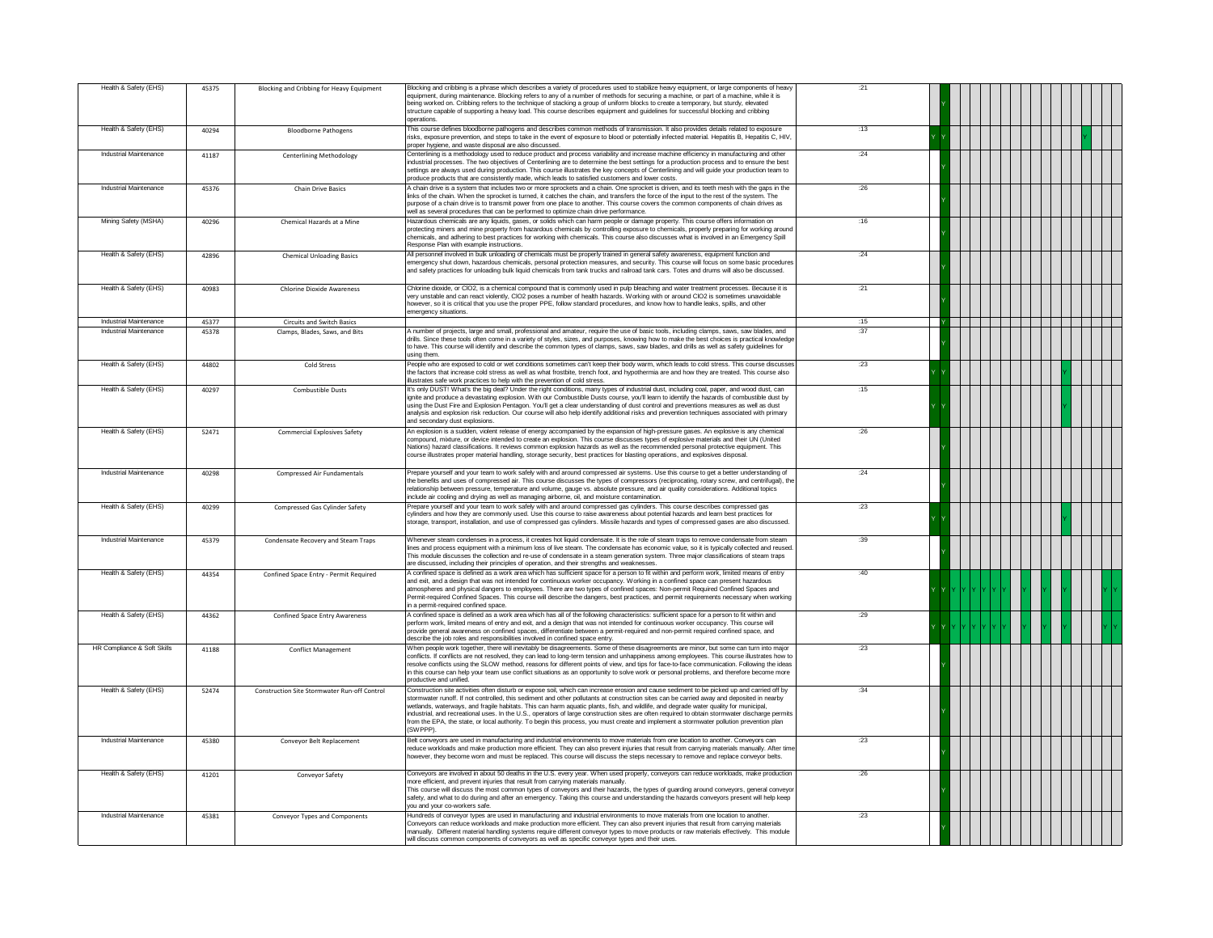| Health & Safety (EHS)       | 45375 | <b>Blocking and Cribbing for Heavy Equipment</b> | Blocking and cribbing is a phrase which describes a variety of procedures used to stabilize heavy equipment, or large components of heavy<br>equipment, during maintenance. Blocking refers to any of a number of methods for securing a machine, or part of a machine, while it is<br>being worked on. Cribbing refers to the technique of stacking a group of uniform blocks to create a temporary, but sturdy, elevated<br>structure capable of supporting a heavy load. This course describes equipment and guidelines for successful blocking and cribbing<br>operations.                                                                                                                                                               | :21   |  |
|-----------------------------|-------|--------------------------------------------------|----------------------------------------------------------------------------------------------------------------------------------------------------------------------------------------------------------------------------------------------------------------------------------------------------------------------------------------------------------------------------------------------------------------------------------------------------------------------------------------------------------------------------------------------------------------------------------------------------------------------------------------------------------------------------------------------------------------------------------------------|-------|--|
| Health & Safety (EHS)       | 40294 | <b>Bloodborne Pathogens</b>                      | This course defines bloodborne pathogens and describes common methods of transmission. It also provides details related to exposure<br>risks, exposure prevention, and steps to take in the event of exposure to blood or potentially infected material. Hepatitis B, Hepatitis C, HIV,<br>proper hygiene, and waste disposal are also discussed.                                                                                                                                                                                                                                                                                                                                                                                            | :13   |  |
| Industrial Maintenance      | 41187 | <b>Centerlining Methodology</b>                  | Centerlining is a methodology used to reduce product and process variability and increase machine efficiency in manufacturing and other<br>industrial processes. The two objectives of Centerlining are to determine the best settings for a production process and to ensure the best<br>settings are always used during production. This course illustrates the key concepts of Centerlining and will guide your production team to<br>produce products that are consistently made, which leads to satisfied customers and lower costs.                                                                                                                                                                                                    | .24   |  |
| Industrial Maintenance      | 45376 | Chain Drive Basics                               | A chain drive is a system that includes two or more sprockets and a chain. One sprocket is driven, and its teeth mesh with the gaps in the<br>links of the chain. When the sprocket is turned, it catches the chain, and transfers the force of the input to the rest of the system. The<br>purpose of a chain drive is to transmit power from one place to another. This course covers the common components of chain drives as<br>well as several procedures that can be performed to optimize chain drive performance.                                                                                                                                                                                                                    | .26   |  |
| Mining Safety (MSHA)        | 40296 | Chemical Hazards at a Mine                       | Hazardous chemicals are any liquids, gases, or solids which can harm people or damage property. This course offers information on<br>protecting miners and mine property from hazardous chemicals by controlling exposure to chemicals, properly preparing for working around<br>chemicals, and adhering to best practices for working with chemicals. This course also discusses what is involved in an Emergency Spill<br>Response Plan with example instructions.                                                                                                                                                                                                                                                                         | .16   |  |
| Health & Safety (EHS)       | 42896 | <b>Chemical Unloading Basics</b>                 | All personnel involved in bulk unloading of chemicals must be properly trained in general safety awareness, equipment function and<br>emergency shut down, hazardous chemicals, personal protection measures, and security. This course will focus on some basic procedure<br>and safety practices for unloading bulk liquid chemicals from tank trucks and railroad tank cars. Totes and drums will also be discussed.                                                                                                                                                                                                                                                                                                                      | :24   |  |
| Health & Safety (EHS)       | 40983 | Chlorine Dioxide Awareness                       | Chlorine dioxide, or CIO2, is a chemical compound that is commonly used in pulp bleaching and water treatment processes. Because it is<br>very unstable and can react violently, CIO2 poses a number of health hazards. Working with or around CIO2 is sometimes unavoidable<br>however, so it is critical that you use the proper PPE, follow standard procedures, and know how to handle leaks, spills, and other<br>emergency situations.                                                                                                                                                                                                                                                                                                 | :21   |  |
| Industrial Maintenance      | 45377 | <b>Circuits and Switch Basics</b>                |                                                                                                                                                                                                                                                                                                                                                                                                                                                                                                                                                                                                                                                                                                                                              | :15   |  |
| Industrial Maintenance      | 45378 | Clamps, Blades, Saws, and Bits                   | A number of projects, large and small, professional and amateur, require the use of basic tools, including clamps, saws, saw blades, and                                                                                                                                                                                                                                                                                                                                                                                                                                                                                                                                                                                                     | .37   |  |
|                             |       |                                                  | drills. Since these tools often come in a variety of styles, sizes, and purposes, knowing how to make the best choices is practical knowledg<br>to have. This course will identify and describe the common types of clamps, saws, saw blades, and drills as well as safety guidelines for<br>using them                                                                                                                                                                                                                                                                                                                                                                                                                                      |       |  |
| Health & Safety (EHS)       | 44802 | Cold Stress                                      | People who are exposed to cold or wet conditions sometimes can't keep their body warm, which leads to cold stress. This course discusses<br>the factors that increase cold stress as well as what frostbite, trench foot, and hypothermia are and how they are treated. This course also<br>illustrates safe work practices to help with the prevention of cold stress.                                                                                                                                                                                                                                                                                                                                                                      | :23   |  |
| Health & Safety (EHS)       | 40297 | Combustible Dusts                                | It's only DUST! What's the big deal? Under the right conditions, many types of industrial dust, including coal, paper, and wood dust, can<br>ionite and produce a devastating explosion. With our Combustible Dusts course, you'll learn to identify the hazards of combustible dust by<br>using the Dust Fire and Explosion Pentagon. You'll get a clear understanding of dust control and preventions measures as well as dust<br>analysis and explosion risk reduction. Our course will also help identify additional risks and prevention techniques associated with primary<br>and secondary dust explosions.                                                                                                                           | :15   |  |
| Health & Safety (EHS)       | 52471 | Commercial Explosives Safety                     | An explosion is a sudden, violent release of energy accompanied by the expansion of high-pressure gases. An explosive is any chemical<br>compound, mixture, or device intended to create an explosion. This course discusses types of explosive materials and their UN (United<br>Nations) hazard classifications. It reviews common explosion hazards as well as the recommended personal protective equipment. This<br>course illustrates proper material handling, storage security, best practices for blasting operations, and explosives disposal.                                                                                                                                                                                     | :26   |  |
| Industrial Maintenance      | 40298 | Compressed Air Fundamentals                      | Prepare yourself and your team to work safely with and around compressed air systems. Use this course to get a better understanding of<br>the benefits and uses of compressed air. This course discusses the types of compressors (reciprocating, rotary screw, and centrifugal), the<br>relationship between pressure, temperature and volume, gauge vs. absolute pressure, and air quality considerations. Additional topics<br>include air cooling and drying as well as managing airborne, oil, and moisture contamination.                                                                                                                                                                                                              | :24   |  |
| Health & Safety (EHS)       | 40299 | Compressed Gas Cylinder Safety                   | Prepare yourself and your team to work safely with and around compressed gas cylinders. This course describes compressed gas<br>cylinders and how they are commonly used. Use this course to raise awareness about potential hazards and learn best practices for<br>storage, transport, installation, and use of compressed gas cylinders. Missile hazards and types of compressed gases are also discussed.                                                                                                                                                                                                                                                                                                                                | : 23  |  |
| Industrial Maintenance      | 45379 | Condensate Recovery and Steam Traps              | Whenever steam condenses in a process, it creates hot liquid condensate. It is the role of steam traps to remove condensate from steam<br>lines and process equipment with a minimum loss of live steam. The condensate has economic value, so it is typically collected and reused<br>This module discusses the collection and re-use of condensate in a steam generation system. Three major classifications of steam traps<br>are discussed, including their principles of operation, and their strengths and weaknesses.                                                                                                                                                                                                                 | :39   |  |
| Health & Safety (EHS)       | 44354 | Confined Space Entry - Permit Required           | A confined space is defined as a work area which has sufficient space for a person to fit within and perform work, limited means of entry<br>and exit, and a design that was not intended for continuous worker occupancy. Working in a confined space can present hazardous<br>atmospheres and physical dangers to employees. There are two types of confined spaces: Non-permit Required Confined Spaces and<br>Permit-required Confined Spaces. This course will describe the dangers, best practices, and permit requirements necessary when working<br>in a permit-required confined space.                                                                                                                                             | $-40$ |  |
| Health & Safety (EHS)       | 44362 | Confined Space Entry Awareness                   | A confined space is defined as a work area which has all of the following characteristics: sufficient space for a person to fit within and<br>perform work, limited means of entry and exit, and a design that was not intended for continuous worker occupancy. This course will<br>provide general awareness on confined spaces, differentiate between a permit-required and non-permit required confined space, and<br>describe the job roles and responsibilities involved in confined space entry.                                                                                                                                                                                                                                      | .29   |  |
| HR Compliance & Soft Skills | 41188 | <b>Conflict Management</b>                       | When people work together, there will inevitably be disagreements. Some of these disagreements are minor, but some can turn into major<br>conflicts. If conflicts are not resolved, they can lead to long-term tension and unhappiness among employees. This course illustrates how to<br>resolve conflicts using the SLOW method, reasons for different points of view, and tips for face-to-face communication. Following the ideas<br>in this course can help your team use conflict situations as an opportunity to solve work or personal problems, and therefore become more<br>productive and unified.                                                                                                                                | :23   |  |
| Health & Safety (EHS)       | 52474 | Construction Site Stormwater Run-off Control     | Construction site activities often disturb or expose soil, which can increase erosion and cause sediment to be picked up and carried off by<br>stormwater runoff. If not controlled, this sediment and other pollutants at construction sites can be carried away and deposited in nearby<br>wetlands, waterways, and fragile habitats. This can harm aquatic plants, fish, and wildlife, and degrade water quality for municipal,<br>industrial, and recreational uses. In the U.S., operators of large construction sites are often required to obtain stormwater discharge permits<br>from the EPA, the state, or local authority. To begin this process, you must create and implement a stormwater pollution prevention plan<br>(SWPPP) | 34    |  |
| Industrial Maintenance      | 45380 | Conveyor Belt Replacement                        | Belt conveyors are used in manufacturing and industrial environments to move materials from one location to another. Conveyors can<br>reduce workloads and make production more efficient. They can also prevent injuries that result from carrying materials manually. After time<br>however, they become worn and must be replaced. This course will discuss the steps necessary to remove and replace conveyor belts.                                                                                                                                                                                                                                                                                                                     | .23   |  |
| Health & Safety (EHS)       | 41201 | Conveyor Safety                                  | Conveyors are involved in about 50 deaths in the U.S. every year. When used properly, conveyors can reduce workloads, make production                                                                                                                                                                                                                                                                                                                                                                                                                                                                                                                                                                                                        | :26   |  |
|                             |       |                                                  | more efficient, and prevent injuries that result from carrying materials manually.<br>This course will discuss the most common types of conveyors and their hazards, the types of guarding around conveyors, general conveyor<br>safety, and what to do during and after an emergency. Taking this course and understanding the hazards conveyors present will help keep<br>vou and vour co-workers safe.                                                                                                                                                                                                                                                                                                                                    |       |  |
| Industrial Maintenance      | 45381 | Conveyor Types and Components                    | Hundreds of conveyor types are used in manufacturing and industrial environments to move materials from one location to another.<br>Conveyors can reduce workloads and make production more efficient. They can also prevent injuries that result from carrying materials<br>manually. Different material handling systems require different conveyor types to move products or raw materials effectively. This module<br>will discuss common components of conveyors as well as specific conveyor types and their uses.                                                                                                                                                                                                                     | :23   |  |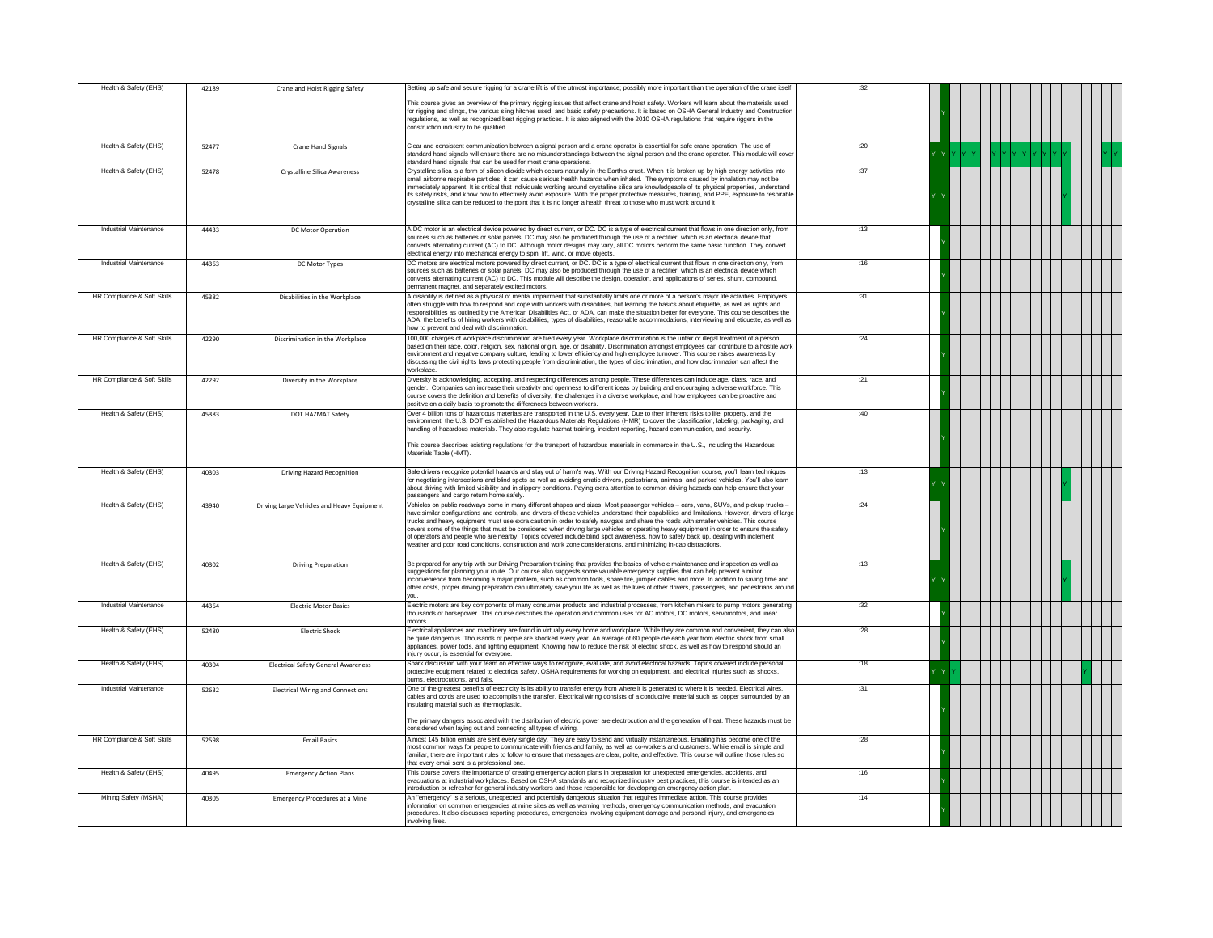| Health & Safety (EHS)       | 42189 | Crane and Hoist Rigging Safety             | Setting up safe and secure rigging for a crane lift is of the utmost importance; possibly more important than the operation of the crane itself                                                                                                                                                                                                                                                                                                                                                                                                                                                                                                                                                                                                                                                                                       | :32  |  |
|-----------------------------|-------|--------------------------------------------|---------------------------------------------------------------------------------------------------------------------------------------------------------------------------------------------------------------------------------------------------------------------------------------------------------------------------------------------------------------------------------------------------------------------------------------------------------------------------------------------------------------------------------------------------------------------------------------------------------------------------------------------------------------------------------------------------------------------------------------------------------------------------------------------------------------------------------------|------|--|
|                             |       |                                            | This course gives an overview of the primary rigging issues that affect crane and hoist safety. Workers will learn about the materials used<br>for rigging and slings, the various sling hitches used, and basic safety precautions. It is based on OSHA General Industry and Construction<br>regulations, as well as recognized best rigging practices. It is also aligned with the 2010 OSHA regulations that require riggers in the<br>construction industry to be qualified.                                                                                                                                                                                                                                                                                                                                                      |      |  |
| Health & Safety (EHS)       | 52477 | Crane Hand Signals                         | Clear and consistent communication between a signal person and a crane operator is essential for safe crane operation. The use of<br>standard hand signals will ensure there are no misunderstandings between the signal person and the crane operator. This module will cove<br>standard hand signals that can be used for most crane operations.                                                                                                                                                                                                                                                                                                                                                                                                                                                                                    | :20  |  |
| Health & Safety (EHS)       | 52478 | Crystalline Silica Awareness               | Crystalline silica is a form of silicon dioxide which occurs naturally in the Earth's crust. When it is broken up by high energy activities into<br>small airborne respirable particles, it can cause serious health hazards when inhaled. The symptoms caused by inhalation may not be<br>mmediately apparent. It is critical that individuals working around crystalline silica are knowledgeable of its physical properties, understand<br>its safety risks, and know how to effectively avoid exposure. With the proper protective measures, training, and PPE, exposure to respirable<br>crystalline silica can be reduced to the point that it is no longer a health threat to those who must work around it.                                                                                                                   | 37   |  |
| Industrial Maintenance      | 44433 | <b>DC Motor Operation</b>                  | A DC motor is an electrical device powered by direct current, or DC. DC is a type of electrical current that flows in one direction only, from<br>sources such as batteries or solar panels. DC may also be produced through the use of a rectifier, which is an electrical device that<br>converts alternating current (AC) to DC. Although motor designs may vary, all DC motors perform the same basic function. They convert<br>electrical energy into mechanical energy to spin, lift, wind, or move objects.                                                                                                                                                                                                                                                                                                                    | :13  |  |
| Industrial Maintenance      | 44363 | DC Motor Types                             | DC motors are electrical motors powered by direct current, or DC. DC is a type of electrical current that flows in one direction only, from<br>sources such as batteries or solar panels. DC may also be produced through the use of a rectifier, which is an electrical device which<br>converts alternating current (AC) to DC. This module will describe the design, operation, and applications of series, shunt, compound,<br>permanent magnet, and separately excited motors.                                                                                                                                                                                                                                                                                                                                                   | :16  |  |
| HR Compliance & Soft Skills | 45382 | Disabilities in the Workplace              | A disability is defined as a physical or mental impairment that substantially limits one or more of a person's major life activities. Employers<br>often struggle with how to respond and cope with workers with disabilities, but learning the basics about etiquette, as well as rights and<br>responsibilities as outlined by the American Disabilities Act, or ADA, can make the situation better for everyone. This course describes the<br>ADA, the benefits of hiring workers with disabilities, types of disabilities, reasonable accommodations, interviewing and etiquette, as well as<br>how to prevent and deal with discrimination.                                                                                                                                                                                      | :31  |  |
| HR Compliance & Soft Skills | 42290 | Discrimination in the Workplace            | 100,000 charges of workplace discrimination are filed every year. Workplace discrimination is the unfair or illegal treatment of a person<br>based on their race, color, religion, sex, national origin, age, or disability. Discrimination amongst employees can contribute to a hostile worl<br>environment and negative company culture, leading to lower efficiency and high employee turnover. This course raises awareness by<br>discussing the civil rights laws protecting people from discrimination, the types of discrimination, and how discrimination can affect the<br>workplace.                                                                                                                                                                                                                                       | :24  |  |
| HR Compliance & Soft Skills | 42292 | Diversity in the Workplace                 | Diversity is acknowledging, accepting, and respecting differences among people. These differences can include age, class, race, and<br>gender. Companies can increase their creativity and openness to different ideas by building and encouraging a diverse workforce. This<br>course covers the definition and benefits of diversity, the challenges in a diverse workplace, and how employees can be proactive and<br>positive on a daily basis to promote the differences between workers.                                                                                                                                                                                                                                                                                                                                        | :21  |  |
| Health & Safety (EHS)       | 45383 | DOT HAZMAT Safety                          | Over 4 billion tons of hazardous materials are transported in the U.S. every year. Due to their inherent risks to life, property, and the<br>environment, the U.S. DOT established the Hazardous Materials Regulations (HMR) to cover the classification, labeling, packaging, and<br>andling of hazardous materials. They also regulate hazmat training, incident reporting, hazard communication, and security.<br>This course describes existing regulations for the transport of hazardous materials in commerce in the U.S., including the Hazardous<br>Materials Table (HMT)                                                                                                                                                                                                                                                    | :40  |  |
| Health & Safety (EHS)       | 40303 | <b>Driving Hazard Recognition</b>          | Safe drivers recognize potential hazards and stay out of harm's way. With our Driving Hazard Recognition course, you'll learn techniques<br>for negotiating intersections and blind spots as well as avoiding erratic drivers, pedestrians, animals, and parked vehicles. You'll also learn<br>about driving with limited visibility and in slippery conditions. Paying extra attention to common driving hazards can help ensure that your<br>passengers and cargo return home safely.                                                                                                                                                                                                                                                                                                                                               | :13  |  |
| Health & Safety (EHS)       | 43940 | Driving Large Vehicles and Heavy Equipment | Vehicles on public roadways come in many different shapes and sizes. Most passenger vehicles – cars, vans, SUVs, and pickup trucks –<br>ave similar configurations and controls, and drivers of these vehicles understand their capabilities and limitations. However, drivers of large<br>trucks and heavy equipment must use extra caution in order to safely navigate and share the roads with smaller vehicles. This course<br>covers some of the things that must be considered when driving large vehicles or operating heavy equipment in order to ensure the safety<br>of operators and people who are nearby. Topics covered include blind spot awareness, how to safely back up, dealing with inclement<br>veather and poor road conditions, construction and work zone considerations, and minimizing in-cab distractions. | :24  |  |
| Health & Safety (EHS)       | 40302 | <b>Driving Preparation</b>                 | Be prepared for any trip with our Driving Preparation training that provides the basics of vehicle maintenance and inspection as well as<br>suggestions for planning vour route. Our course also suggests some valuable emergency supplies that can help prevent a minor<br>inconvenience from becoming a major problem, such as common tools, spare tire, jumper cables and more. In addition to saving time and<br>other costs, proper driving preparation can ultimately save your life as well as the lives of other drivers, passengers, and pedestrians around<br>vou.                                                                                                                                                                                                                                                          | :13  |  |
| Industrial Maintenance      | 44364 | <b>Electric Motor Basics</b>               | Electric motors are key components of many consumer products and industrial processes, from kitchen mixers to pump motors generating<br>thousands of horsepower. This course describes the operation and common uses for AC motors, DC motors, servomotors, and linear<br>motors.                                                                                                                                                                                                                                                                                                                                                                                                                                                                                                                                                     | :32  |  |
| Health & Safety (EHS)       | 52480 | <b>Electric Shock</b>                      | Electrical appliances and machinery are found in virtually every home and workplace. While they are common and convenient, they can also<br>be quite dangerous. Thousands of people are shocked every year. An average of 60 people die each year from electric shock from small<br>appliances, power tools, and lighting equipment. Knowing how to reduce the risk of electric shock, as well as how to respond should an<br>injury occur, is essential for everyone.                                                                                                                                                                                                                                                                                                                                                                | :28  |  |
| Health & Safety (EHS)       | 40304 | <b>Electrical Safety General Awareness</b> | Spark discussion with your team on effective ways to recognize, evaluate, and avoid electrical hazards. Topics covered include personal<br>protective equipment related to electrical safety, OSHA requirements for working on equipment, and electrical injuries such as shocks,<br>burns, electrocutions, and falls.                                                                                                                                                                                                                                                                                                                                                                                                                                                                                                                | :18  |  |
| Industrial Maintenance      | 52632 | <b>Electrical Wiring and Connections</b>   | One of the greatest benefits of electricity is its ability to transfer energy from where it is generated to where it is needed. Electrical wires,<br>cables and cords are used to accomplish the transfer. Electrical wiring consists of a conductive material such as copper surrounded by an<br>insulating material such as thermoplastic.<br>The primary dangers associated with the distribution of electric power are electrocution and the generation of heat. These hazards must be<br>considered when laying out and connecting all types of wiring.                                                                                                                                                                                                                                                                          | 31   |  |
| HR Compliance & Soft Skills | 52598 | <b>Email Basics</b>                        | Almost 145 billion emails are sent every single day. They are easy to send and virtually instantaneous. Emailing has become one of the<br>most common ways for people to communicate with friends and family, as well as co-workers and customers. While email is simple and<br>familiar, there are important rules to follow to ensure that messages are clear, polite, and effective. This course will outline those rules so<br>that every email sent is a professional one                                                                                                                                                                                                                                                                                                                                                        | : 28 |  |
| Health & Safety (EHS)       | 40495 | <b>Emergency Action Plans</b>              | This course covers the importance of creating emergency action plans in preparation for unexpected emergencies, accidents, and<br>evacuations at industrial workplaces. Based on OSHA standards and recognized industry best practices, this course is intended as an<br>ntroduction or refresher for general industry workers and those responsible for developing an emergency action plan.                                                                                                                                                                                                                                                                                                                                                                                                                                         | :16  |  |
| Mining Safety (MSHA)        | 40305 | <b>Emergency Procedures at a Mine</b>      | An "emergency" is a serious, unexpected, and potentially dangerous situation that requires immediate action. This course provides<br>information on common emergencies at mine sites as well as warning methods, emergency communication methods, and evacuation<br>procedures. It also discusses reporting procedures, emergencies involving equipment damage and personal injury, and emergencies<br>involving fires.                                                                                                                                                                                                                                                                                                                                                                                                               | :14  |  |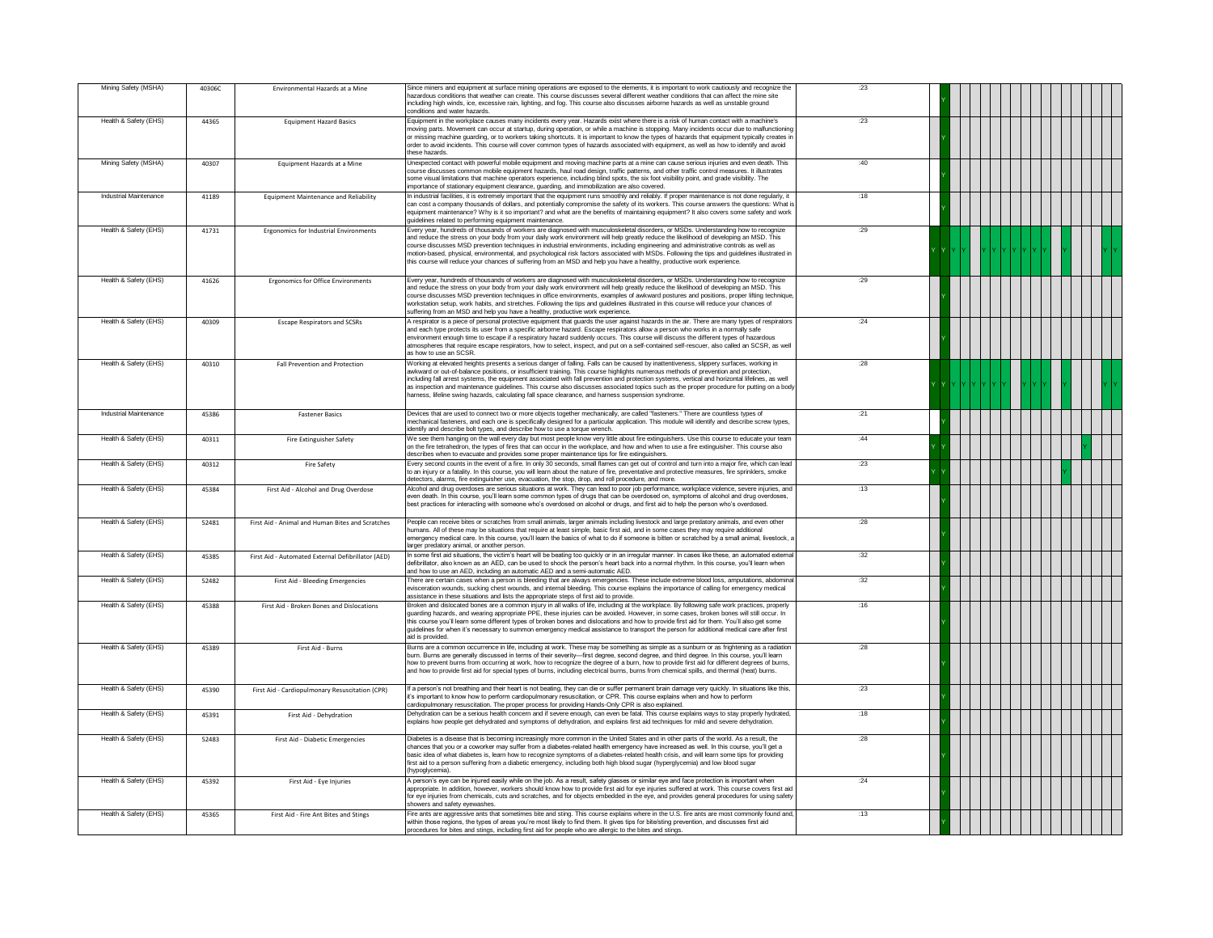| Mining Safety (MSHA)   | 40306C | Environmental Hazards at a Mine                    | Since miners and equipment at surface mining operations are exposed to the elements, it is important to work cautiously and recognize the<br>hazardous conditions that weather can create. This course discusses several different weather conditions that can affect the mine site<br>including high winds, ice, excessive rain, lighting, and fog. This course also discusses airborne hazards as well as unstable ground<br>conditions and water hazards.                                                                                                                                                                                                                                  | :23  |  |
|------------------------|--------|----------------------------------------------------|-----------------------------------------------------------------------------------------------------------------------------------------------------------------------------------------------------------------------------------------------------------------------------------------------------------------------------------------------------------------------------------------------------------------------------------------------------------------------------------------------------------------------------------------------------------------------------------------------------------------------------------------------------------------------------------------------|------|--|
| Health & Safety (EHS)  | 44365  | <b>Equipment Hazard Basics</b>                     | Equipment in the workplace causes many incidents every year. Hazards exist where there is a risk of human contact with a machine's<br>moving parts. Movement can occur at startup, during operation, or while a machine is stopping. Many incidents occur due to malfunctioning<br>or missing machine guarding, or to workers taking shortcuts. It is important to know the types of hazards that equipment typically creates in<br>order to avoid incidents. This course will cover common types of hazards associated with equipment, as well as how to identify and avoid<br>these hazards                                                                                                 | .23  |  |
| Mining Safety (MSHA)   | 40307  | Equipment Hazards at a Mine                        | Unexpected contact with powerful mobile equipment and moving machine parts at a mine can cause serious injuries and even death. This<br>course discusses common mobile equipment hazards, haul road design, traffic patterns, and other traffic control measures. It illustrates<br>some visual limitations that machine operators experience, including blind spots, the six foot visibility point, and grade visibility. The<br>importance of stationary equipment clearance, guarding, and immobilization are also covered.                                                                                                                                                                | :40  |  |
| Industrial Maintenance | 41189  | Equipment Maintenance and Reliability              | In industrial facilities, it is extremely important that the equipment runs smoothly and reliably. If proper maintenance is not done regularly, it<br>can cost a company thousands of dollars, and potentially compromise the safety of its workers. This course answers the questions: What is<br>equipment maintenance? Why is it so important? and what are the benefits of maintaining equipment? It also covers some safety and work<br>quidelines related to performing equipment maintenance.                                                                                                                                                                                          | :18  |  |
| Health & Safety (EHS)  | 41731  | Ergonomics for Industrial Environments             | Every year, hundreds of thousands of workers are diagnosed with musculoskeletal disorders, or MSDs. Understanding how to recognize<br>and reduce the stress on your body from your daily work environment will help greatly reduce the likelihood of developing an MSD. This<br>course discusses MSD prevention techniques in industrial environments, including engineering and administrative controls as well as<br>motion-based, physical, environmental, and psychological risk factors associated with MSDs. Following the tips and guidelines illustrated in<br>this course will reduce your chances of suffering from an MSD and help you have a healthy, productive work experience. | :29  |  |
| Health & Safety (EHS)  | 41626  | Ergonomics for Office Environments                 | Every year, hundreds of thousands of workers are diagnosed with musculoskeletal disorders, or MSDs. Understanding how to recognize<br>and reduce the stress on your body from your daily work environment will help greatly reduce the likelihood of developing an MSD. This<br>course discusses MSD prevention techniques in office environments, examples of awkward postures and positions, proper lifting technique,<br>workstation setup, work habits, and stretches. Following the tips and guidelines illustrated in this course will reduce your chances of<br>suffering from an MSD and help you have a healthy, productive work experience.                                         | :29  |  |
| Health & Safety (EHS)  | 40309  | <b>Escape Respirators and SCSRs</b>                | A respirator is a piece of personal protective equipment that quards the user against hazards in the air. There are many types of respirators<br>and each type protects its user from a specific airborne hazard. Escape respirators allow a person who works in a normally safe<br>environment enough time to escape if a respiratory hazard suddenly occurs. This course will discuss the different types of hazardous<br>atmospheres that require escape respirators, how to select, inspect, and put on a self-contained self-rescuer, also called an SCSR, as well<br>as how to use an SCSR.                                                                                             | : 24 |  |
| Health & Safety (EHS)  | 40310  | Fall Prevention and Protection                     | Working at elevated heights presents a serious danger of falling. Falls can be caused by inattentiveness, slippery surfaces, working in<br>awkward or out-of-balance positions, or insufficient training. This course highlights numerous methods of prevention and protection,<br>including fall arrest systems, the equipment associated with fall prevention and protection systems, vertical and horizontal lifelines, as well<br>as inspection and maintenance quidelines. This course also discusses associated topics such as the proper procedure for putting on a body<br>narness, lifeline swing hazards, calculating fall space clearance, and harness suspension syndrome.        | : 28 |  |
| Industrial Maintenance | 45386  | <b>Fastener Basics</b>                             | Devices that are used to connect two or more objects together mechanically, are called "fasteners." There are countless types of<br>nechanical fasteners, and each one is specifically designed for a particular application. This module will identify and describe screw types,<br>identify and describe bolt types, and describe how to use a torque wrench.                                                                                                                                                                                                                                                                                                                               | :21  |  |
| Health & Safety (EHS)  | 40311  | <b>Fire Extinguisher Safety</b>                    | We see them hanging on the wall every day but most people know very little about fire extinguishers. Use this course to educate your team<br>on the fire tetrahedron, the types of fires that can occur in the workplace, and how and when to use a fire extinguisher. This course also<br>describes when to evacuate and provides some proper maintenance tips for fire extinguishers.                                                                                                                                                                                                                                                                                                       | :44  |  |
| Health & Safety (EHS)  | 40312  | <b>Fire Safety</b>                                 | Every second counts in the event of a fire. In only 30 seconds, small flames can get out of control and turn into a major fire, which can lead<br>to an injury or a fatality. In this course, you will learn about the nature of fire, preventative and protective measures, fire sprinklers, smoke<br>detectors, alarms, fire extinguisher use, evacuation, the stop, drop, and roll procedure, and more.                                                                                                                                                                                                                                                                                    | .23  |  |
| Health & Safety (EHS)  | 45384  | First Aid - Alcohol and Drug Overdose              | Nicohol and drug overdoses are serious situations at work. They can lead to poor job performance, workplace violence, severe injuries, and<br>even death. In this course, you'll learn some common types of drugs that can be overdosed on, symptoms of alcohol and drug overdoses,<br>best practices for interacting with someone who's overdosed on alcohol or drugs, and first aid to help the person who's overdosed.                                                                                                                                                                                                                                                                     | :13  |  |
| Health & Safety (EHS)  | 52481  | First Aid - Animal and Human Bites and Scratches   | People can receive bites or scratches from small animals, larger animals including livestock and large predatory animals, and even other<br>numans. All of these may be situations that require at least simple, basic first aid, and in some cases they may require additional<br>emergency medical care. In this course, you'll learn the basics of what to do if someone is bitten or scratched by a small animal, livestock, a<br>larger predatory animal, or another person.                                                                                                                                                                                                             | :28  |  |
| Health & Safety (EHS)  | 45385  | First Aid - Automated External Defibrillator (AED) | In some first aid situations, the victim's heart will be beating too quickly or in an irregular manner. In cases like these, an automated externa<br>defibrillator, also known as an AED, can be used to shock the person's heart back into a normal rhythm. In this course, you'll learn when<br>and how to use an AED, including an automatic AED and a semi-automatic AED.                                                                                                                                                                                                                                                                                                                 | :32  |  |
| Health & Safety (EHS)  | 52482  | First Aid - Bleeding Emergencies                   | There are certain cases when a person is bleeding that are always emergencies. These include extreme blood loss, amputations, abdominal<br>evisceration wounds, sucking chest wounds, and internal bleeding. This course explains the importance of calling for emergency medical<br>assistance in these situations and lists the appropriate steps of first aid to provide.                                                                                                                                                                                                                                                                                                                  | :32  |  |
| Health & Safety (EHS)  | 45388  | First Aid - Broken Bones and Dislocations          | Broken and dislocated bones are a common injury in all walks of life, including at the workplace. By following safe work practices, properly<br>guarding hazards, and wearing appropriate PPE, these injuries can be avoided. However, in some cases, broken bones will still occur. In<br>this course you'll learn some different types of broken bones and dislocations and how to provide first aid for them. You'll also get some<br>guidelines for when it's necessary to summon emergency medical assistance to transport the person for additional medical care after first<br>aid is provided                                                                                         | :16  |  |
| Health & Safety (EHS)  | 45389  | First Aid - Burns                                  | Burns are a common occurrence in life, including at work. These may be something as simple as a sunburn or as frightening as a radiation<br>burn. Burns are generally discussed in terms of their severity-first degree, second degree, and third degree. In this course, you'll learn<br>how to prevent burns from occurring at work, how to recognize the degree of a burn, how to provide first aid for different degrees of burns,<br>and how to provide first aid for special types of burns, including electrical burns, burns from chemical spills, and thermal (heat) burns.                                                                                                          | .28  |  |
| Health & Safety (EHS)  | 45390  | First Aid - Cardiopulmonary Resuscitation (CPR)    | If a person's not breathing and their heart is not beating, they can die or suffer permanent brain damage very quickly. In situations like this,<br>it's important to know how to perform cardiopulmonary resuscitation, or CPR. This course explains when and how to perform<br>cardiopulmonary resuscitation. The proper process for providing Hands-Only CPR is also explained.                                                                                                                                                                                                                                                                                                            | : 23 |  |
| Health & Safety (EHS)  | 45391  | First Aid - Dehydration                            | Dehydration can be a serious health concern and if severe enough, can even be fatal. This course explains ways to stay properly hydrated,<br>explains how people get dehydrated and symptoms of dehydration, and explains first aid techniques for mild and severe dehydration.                                                                                                                                                                                                                                                                                                                                                                                                               | :18  |  |
| Health & Safety (EHS)  | 52483  | First Aid - Diabetic Emergencies                   | Diabetes is a disease that is becoming increasingly more common in the United States and in other parts of the world. As a result, the<br>chances that you or a coworker may suffer from a diabetes-related health emergency have increased as well. In this course, you'll get a<br>basic idea of what diabetes is, learn how to recognize symptoms of a diabetes-related health crisis, and will learn some tips for providing<br>first aid to a person suffering from a diabetic emergency, including both high blood sugar (hyperglycemia) and low blood sugar<br>(hypoglycemia).                                                                                                         | :28  |  |
| Health & Safety (EHS)  | 45392  | First Aid - Eye Injuries                           | A person's eye can be injured easily while on the job. As a result, safety glasses or similar eye and face protection is important when<br>appropriate. In addition, however, workers should know how to provide first aid for eye injuries suffered at work. This course covers first aid<br>for eye injuries from chemicals, cuts and scratches, and for objects embedded in the eye, and provides general procedures for using safety<br>howers and safety evewashes                                                                                                                                                                                                                       | .24  |  |
| Health & Safety (EHS)  | 45365  | First Aid - Fire Ant Bites and Stings              | Fire ants are aggressive ants that sometimes bite and sting. This course explains where in the U.S. fire ants are most commonly found and,<br>within those regions, the types of areas you're most likely to find them. It gives tips for bite/sting prevention, and discusses first aid<br>procedures for bites and stings, including first aid for people who are allergic to the bites and stings.                                                                                                                                                                                                                                                                                         | :13  |  |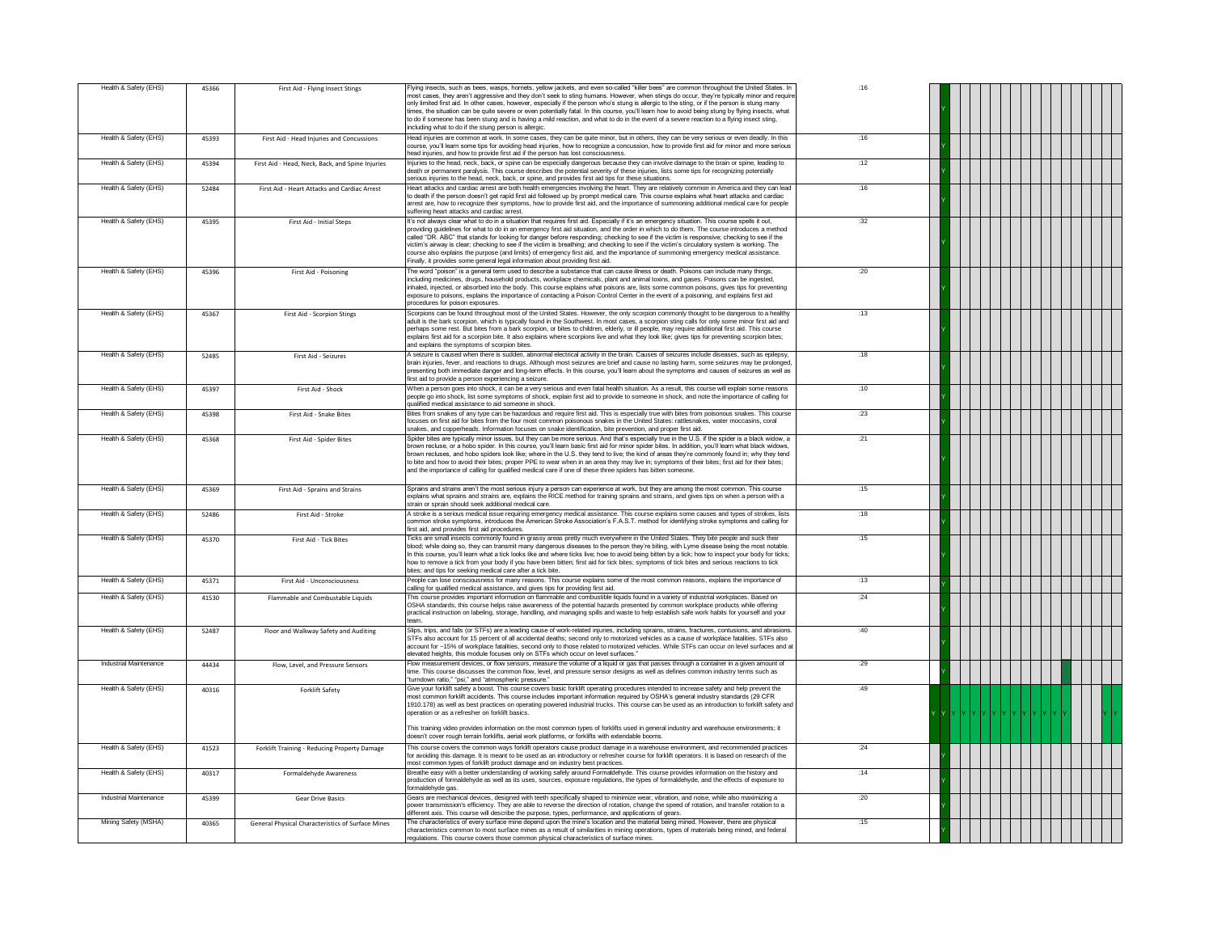| Health & Safety (EHS)  | 45366 | First Aid - Flying Insect Stings                  | Flying insects, such as bees, wasps, hornets, yellow jackets, and even so-called "killer bees" are common throughout the United States. In<br>most cases, they aren't aggressive and they don't seek to sting humans. However, when stings do occur, they're typically minor and require<br>only limited first aid. In other cases, however, especially if the person who's stung is allergic to the sting, or if the person is stung many<br>times, the situation can be quite severe or even potentially fatal. In this course, you'll learn how to avoid being stung by flying insects, what<br>to do if someone has been stung and is having a mild reaction, and what to do in the event of a severe reaction to a flying insect sting,<br>including what to do if the stung person is allergic.               | :16  |  |
|------------------------|-------|---------------------------------------------------|---------------------------------------------------------------------------------------------------------------------------------------------------------------------------------------------------------------------------------------------------------------------------------------------------------------------------------------------------------------------------------------------------------------------------------------------------------------------------------------------------------------------------------------------------------------------------------------------------------------------------------------------------------------------------------------------------------------------------------------------------------------------------------------------------------------------|------|--|
| Health & Safety (EHS)  | 45393 | First Aid - Head Injuries and Concussions         | Head injuries are common at work. In some cases, they can be quite minor, but in others, they can be very serious or even deadly. In this<br>course, you'll learn some tips for avoiding head injuries, how to recognize a concussion, how to provide first aid for minor and more serious<br>head injuries, and how to provide first aid if the person has lost consciousness.                                                                                                                                                                                                                                                                                                                                                                                                                                     | .16  |  |
| Health & Safety (EHS)  | 45394 | First Aid - Head, Neck, Back, and Spine Injuries  | Injuries to the head, neck, back, or spine can be especially dangerous because they can involve damage to the brain or spine, leading to<br>death or permanent paralysis. This course describes the potential severity of these injuries, lists some tips for recognizing potentially<br>serious injuries to the head, neck, back, or spine, and provides first aid tips for these situations.                                                                                                                                                                                                                                                                                                                                                                                                                      | :12  |  |
| Health & Safety (EHS)  | 52484 | First Aid - Heart Attacks and Cardiac Arrest      | Heart attacks and cardiac arrest are both health emergencies involving the heart. They are relatively common in America and they can lead<br>to death if the person doesn't get rapid first aid followed up by prompt medical care. This course explains what heart attacks and cardiac<br>arrest are, how to recognize their symptoms, how to provide first aid, and the importance of summoning additional medical care for people<br>suffering heart attacks and cardiac arrest.                                                                                                                                                                                                                                                                                                                                 | :16  |  |
| Health & Safety (EHS)  | 45395 | <b>First Aid - Initial Stens</b>                  | It's not always clear what to do in a situation that requires first aid. Especially if it's an emergency situation. This course spells it out,<br>providing guidelines for what to do in an emergency first aid situation, and the order in which to do them. The course introduces a method<br>called "DR. ABC" that stands for looking for danger before responding; checking to see if the victim is responsive; checking to see if the<br>victim's airway is clear; checking to see if the victim is breathing; and checking to see if the victim's circulatory system is working. The<br>course also explains the purpose (and limits) of emergency first aid, and the importance of summoning emergency medical assistance.<br>Finally, it provides some general legal information about providing first aid. | :32  |  |
| Health & Safety (EHS)  | 45396 | First Aid - Poisoning                             | The word "poison" is a general term used to describe a substance that can cause illness or death. Poisons can include many things,<br>including medicines, drugs, household products, workplace chemicals, plant and animal toxins, and gases. Poisons can be ingested,<br>inhaled, injected, or absorbed into the body. This course explains what poisons are, lists some common poisons, gives tips for preventing<br>exposure to poisons, explains the importance of contacting a Poison Control Center in the event of a poisoning, and explains first aid<br>procedures for poison exposures.                                                                                                                                                                                                                  | :20  |  |
| Health & Safety (EHS)  | 45367 | First Aid - Scorpion Stings                       | Scorpions can be found throughout most of the United States. However, the only scorpion commonly thought to be dangerous to a healthy<br>adult is the bark scorpion, which is typically found in the Southwest. In most cases, a scorpion sting calls for only some minor first aid and<br>perhaps some rest. But bites from a bark scorpion, or bites to children, elderly, or ill people, may require additional first aid. This course<br>explains first aid for a scorpion bite. It also explains where scorpions live and what they look like; gives tips for preventing scorpion bites;<br>and explains the symptoms of scorpion bites.                                                                                                                                                                       | :13  |  |
| Health & Safety (EHS)  | 52485 | First Aid - Seizures                              | A seizure is caused when there is sudden, abnormal electrical activity in the brain. Causes of seizures include diseases, such as epilepsy,<br>brain injuries, fever, and reactions to drugs. Although most seizures are brief and cause no lasting harm, some seizures may be prolonged<br>presenting both immediate danger and long-term effects. In this course, you'll learn about the symptoms and causes of seizures as well as<br>first aid to provide a person experiencing a seizure.                                                                                                                                                                                                                                                                                                                      | .18  |  |
| Health & Safety (EHS)  | 45397 | First Aid - Shock                                 | When a person goes into shock, it can be a very serious and even fatal health situation. As a result, this course will explain some reasons<br>people go into shock, list some symptoms of shock, explain first aid to provide to someone in shock, and note the importance of calling for<br>qualified medical assistance to aid someone in shock.                                                                                                                                                                                                                                                                                                                                                                                                                                                                 | :10  |  |
| Health & Safety (EHS)  | 45398 | First Aid - Snake Bites                           | Bites from snakes of any type can be hazardous and require first aid. This is especially true with bites from poisonous snakes. This course<br>focuses on first aid for bites from the four most common poisonous snakes in the United States: rattlesnakes, water moccasins, coral<br>snakes, and copperheads. Information focuses on snake identification, bite prevention, and proper first aid.                                                                                                                                                                                                                                                                                                                                                                                                                 | : 23 |  |
| Health & Safety (EHS)  | 45368 | First Aid - Spider Bites                          | Spider bites are typically minor issues, but they can be more serious. And that's especially true in the U.S. if the spider is a black widow, a<br>brown recluse, or a hobo spider. In this course, you'll learn basic first aid for minor spider bites. In addition, you'll learn what black widows,<br>brown recluses, and hobo spiders look like; where in the U.S, they tend to live; the kind of areas they're commonly found in; why they tend<br>to bite and how to avoid their bites; proper PPE to wear when in an area they may live in; symptoms of their bites; first aid for their bites;<br>and the importance of calling for qualified medical care if one of these three spiders has bitten someone                                                                                                 | :21  |  |
| Health & Safety (EHS)  | 45369 | First Aid - Sprains and Strains                   | Sprains and strains aren't the most serious injury a person can experience at work, but they are among the most common. This course<br>explains what sprains and strains are, explains the RICE method for training sprains and strains, and gives tips on when a person with a<br>strain or sprain should seek additional medical care.                                                                                                                                                                                                                                                                                                                                                                                                                                                                            | :15  |  |
| Health & Safety (EHS)  | 52486 | First Aid - Stroke                                | A stroke is a serious medical issue requiring emergency medical assistance. This course explains some causes and types of strokes, lists<br>common stroke symptoms, introduces the American Stroke Association's F.A.S.T. method for identifying stroke symptoms and calling for<br>first aid, and provides first aid procedures.                                                                                                                                                                                                                                                                                                                                                                                                                                                                                   | :18  |  |
| Health & Safety (EHS)  | 45370 | First Aid - Tick Bites                            | Ticks are small insects commonly found in grassy areas pretty much everywhere in the United States. They bite people and suck their<br>blood; while doing so, they can transmit many dangerous diseases to the person they're biting, with Lyme disease being the most notable.<br>In this course, you'll learn what a tick looks like and where ticks live; how to avoid being bitten by a tick; how to inspect your body for ticks;<br>how to remove a tick from your body if you have been bitten; first aid for tick bites; symptoms of tick bites and serious reactions to tick<br>bites; and tips for seeking medical care after a tick bite.                                                                                                                                                                 | :15  |  |
| Health & Safety (EHS)  | 45371 | First Aid - Unconsciousness                       | People can lose consciousness for many reasons. This course explains some of the most common reasons, explains the importance of<br>calling for qualified medical assistance, and gives tips for providing first aid.                                                                                                                                                                                                                                                                                                                                                                                                                                                                                                                                                                                               | :13  |  |
| Health & Safety (EHS)  | 41530 | Flammable and Combustable Liquids                 | This course provides important information on flammable and combustible liquids found in a variety of industrial workplaces. Based on<br>OSHA standards, this course helps raise awareness of the potential hazards presented by common workplace products while offering<br>practical instruction on labeling, storage, handling, and managing spills and waste to help establish safe work habits for yourself and your<br>team.                                                                                                                                                                                                                                                                                                                                                                                  | : 24 |  |
| Health & Safety (EHS)  | 52487 | Floor and Walkway Safety and Auditing             | Slips, trips, and falls (or STFs) are a leading cause of work-related injuries, including sprains, strains, fractures, contusions, and abrasions.<br>STFs also account for 15 percent of all accidental deaths: second only to motorized vehicles as a cause of workplace fatalities. STFs also<br>account for ~15% of workplace fatalities, second only to those related to motorized vehicles. While STFs can occur on level surfaces and at<br>elevated heights, this module focuses only on STFs which occur on level surfaces.                                                                                                                                                                                                                                                                                 | :40  |  |
| Industrial Maintenance | 44434 | Flow, Level, and Pressure Sensors                 | Flow measurement devices, or flow sensors, measure the volume of a liquid or gas that passes through a container in a given amount of<br>time. This course discusses the common flow, level, and pressure sensor designs as well as defines common industry terms such as<br>"turndown ratio," "psi," and "atmospheric pressure."                                                                                                                                                                                                                                                                                                                                                                                                                                                                                   | :29  |  |
| Health & Safety (EHS)  | 40316 | <b>Forklift Safety</b>                            | Give your forklift safety a boost. This course covers basic forklift operating procedures intended to increase safety and help prevent the<br>most common forklift accidents. This course includes important information required by OSHA's general industry standards (29 CFR<br>1910.178) as well as best practices on operating powered industrial trucks. This course can be used as an introduction to forklift safety and<br>operation or as a refresher on forklift basics.<br>This training video provides information on the most common types of forklifts used in general industry and warehouse environments; it                                                                                                                                                                                        | :49  |  |
| Health & Safety (EHS)  | 41523 | Forklift Training - Reducing Property Damage      | doesn't cover rough terrain forklifts, aerial work platforms, or forklifts with extendable booms.<br>This course covers the common ways forklift operators cause product damage in a warehouse environment, and recommended practices<br>for avoiding this damage. It is meant to be used as an introductory or refresher course for forklift operators. It is based on research of the                                                                                                                                                                                                                                                                                                                                                                                                                             | :24  |  |
| Health & Safety (EHS)  | 40317 | Formaldehyde Awareness                            | most common types of forklift product damage and on industry best practices.<br>Breathe easy with a better understanding of working safely around Formaldehyde. This course provides information on the history and                                                                                                                                                                                                                                                                                                                                                                                                                                                                                                                                                                                                 | :14  |  |
| Industrial Maintenance | 45399 | <b>Gear Drive Basics</b>                          | production of formaldehyde as well as its uses, sources, exposure regulations, the types of formaldehyde, and the effects of exposure to<br>ormaldehyde gas.<br>Gears are mechanical devices, designed with teeth specifically shaped to minimize wear, vibration, and noise, while also maximizing a                                                                                                                                                                                                                                                                                                                                                                                                                                                                                                               | :20  |  |
| Mining Safety (MSHA)   |       |                                                   | power transmission's efficiency. They are able to reverse the direction of rotation, change the speed of rotation, and transfer rotation to a<br>different axis. This course will describe the purpose, types, performance, and applications of gears.                                                                                                                                                                                                                                                                                                                                                                                                                                                                                                                                                              | :15  |  |
|                        | 40365 | General Physical Characteristics of Surface Mines | The characteristics of every surface mine depend upon the mine's location and the material being mined. However, there are physical<br>characteristics common to most surface mines as a result of similarities in mining operations, types of materials being mined, and federal<br>regulations. This course covers those common physical characteristics of surface mines.                                                                                                                                                                                                                                                                                                                                                                                                                                        |      |  |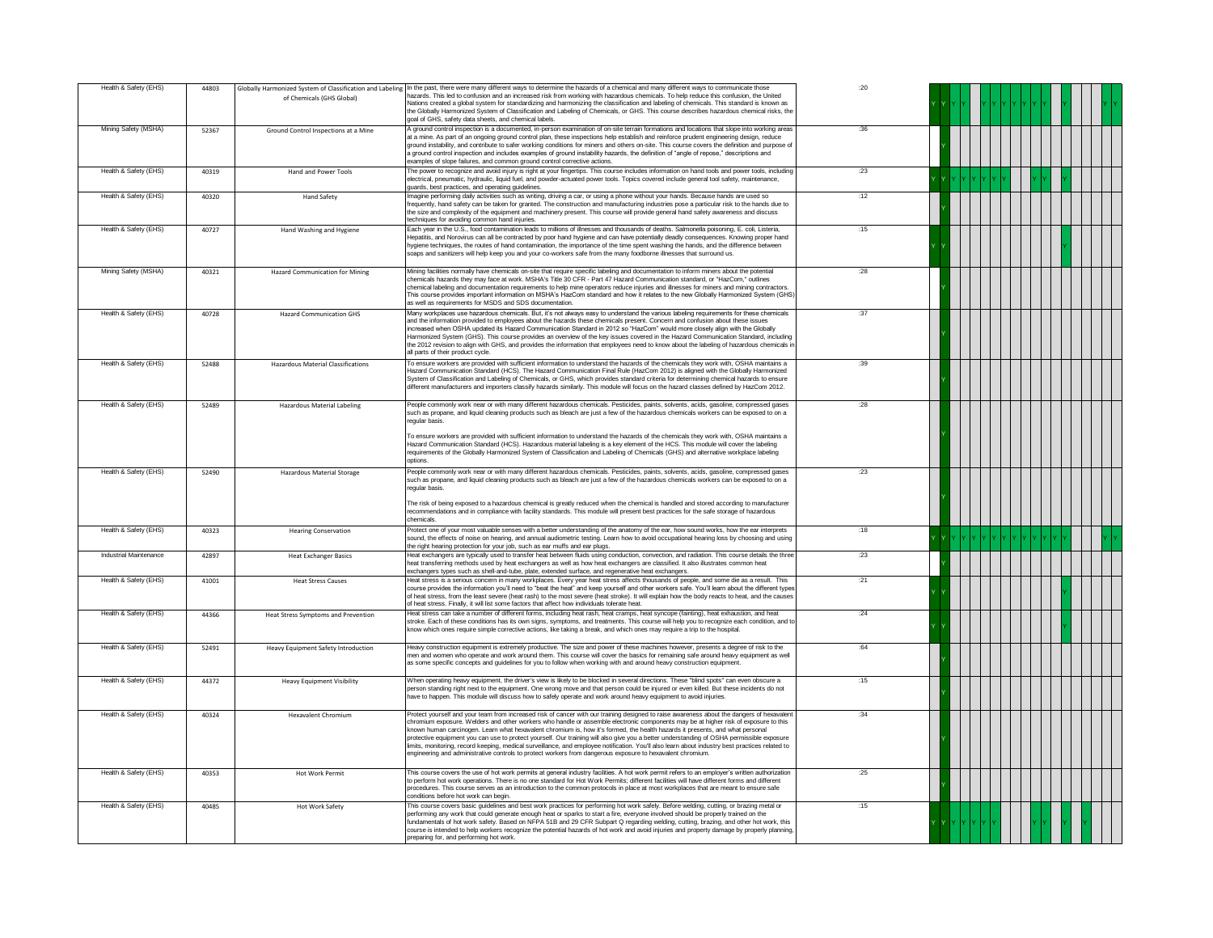| Health & Safety (EHS)  | 44803 | of Chemicals (GHS Global)              | Globally Harmonized System of Classification and Labeling In the past, there were many different ways to determine the hazards of a chemical and many different ways to communicate those<br>hazards. This led to confusion and an increased risk from working with hazardous chemicals. To help reduce this confusion, the United<br>Nations created a global system for standardizing and harmonizing the classification and labeling of chemicals. This standard is known as<br>the Globally Harmonized System of Classification and Labeling of Chemicals, or GHS. This course describes hazardous chemical risks, the<br>goal of GHS, safety data sheets, and chemical labels.                                                                                                                                             | :20  |  |
|------------------------|-------|----------------------------------------|---------------------------------------------------------------------------------------------------------------------------------------------------------------------------------------------------------------------------------------------------------------------------------------------------------------------------------------------------------------------------------------------------------------------------------------------------------------------------------------------------------------------------------------------------------------------------------------------------------------------------------------------------------------------------------------------------------------------------------------------------------------------------------------------------------------------------------|------|--|
| Mining Safety (MSHA)   | 52367 | Ground Control Inspections at a Mine   | A ground control inspection is a documented, in-person examination of on-site terrain formations and locations that slope into working areas<br>at a mine. As part of an ongoing ground control plan, these inspections help establish and reinforce prudent engineering design, reduce<br>ground instability, and contribute to safer working conditions for miners and others on-site. This course covers the definition and purpose of<br>a ground control inspection and includes examples of ground instability hazards, the definition of "angle of repose," descriptions and<br>examples of slope failures, and common ground control corrective actions.                                                                                                                                                                | :36  |  |
| Health & Safety (EHS)  | 40319 | Hand and Power Tools                   | The power to recognize and avoid injury is right at your fingertips. This course includes information on hand tools and power tools, including<br>electrical, pneumatic, hydraulic, liquid fuel, and powder-actuated power tools. Topics covered include general tool safety, maintenance,<br>guards, best practices, and operating guidelines.                                                                                                                                                                                                                                                                                                                                                                                                                                                                                 | :23  |  |
| Health & Safety (EHS)  | 40320 | <b>Hand Safety</b>                     | Imagine performing daily activities such as writing, driving a car, or using a phone without your hands. Because hands are used so<br>frequently, hand safety can be taken for granted. The construction and manufacturing industries pose a particular risk to the hands due to<br>the size and complexity of the equipment and machinery present. This course will provide general hand safety awareness and discuss<br>techniques for avoiding common hand injuries.                                                                                                                                                                                                                                                                                                                                                         | :12  |  |
| Health & Safety (EHS)  | 40727 | Hand Washing and Hygiene               | Each year in the U.S., food contamination leads to millions of illnesses and thousands of deaths. Salmonella poisoning, E. coli, Listeria,<br>Hepatitis, and Norovirus can all be contracted by poor hand hygiene and can have potentially deadly consequences. Knowing proper hand<br>hygiene techniques, the routes of hand contamination, the importance of the time spent washing the hands, and the difference between<br>soaps and sanitizers will help keep you and your co-workers safe from the many foodborne illnesses that surround us.                                                                                                                                                                                                                                                                             | :15  |  |
| Mining Safety (MSHA)   | 40321 | <b>Hazard Communication for Mining</b> | Mining facilities normally have chemicals on-site that require specific labeling and documentation to inform miners about the potential<br>chemicals hazards they may face at work. MSHA's Title 30 CFR - Part 47 Hazard Communication standard, or "HazCom," outlines<br>chemical labeling and documentation requirements to help mine operators reduce injuries and illnesses for miners and mining contractors.<br>This course provides important information on MSHA's HazCom standard and how it relates to the new Globally Harmonized System (GHS)<br>as well as requirements for MSDS and SDS documentation.                                                                                                                                                                                                            | :28  |  |
| Health & Safety (EHS)  | 40728 | <b>Hazard Communication GHS</b>        | Many workplaces use hazardous chemicals. But, it's not always easy to understand the various labeling requirements for these chemicals<br>and the information provided to employees about the hazards these chemicals present. Concern and confusion about these issues<br>increased when OSHA updated its Hazard Communication Standard in 2012 so "HazCom" would more closely align with the Globally<br>Harmonized System (GHS). This course provides an overview of the key issues covered in the Hazard Communication Standard, including<br>the 2012 revision to align with GHS, and provides the information that employees need to know about the labeling of hazardous chemicals in<br>all parts of their product cycle.                                                                                               | :37  |  |
| Health & Safety (EHS)  | 52488 | Hazardous Material Classifications     | To ensure workers are provided with sufficient information to understand the hazards of the chemicals they work with, OSHA maintains a<br>Hazard Communication Standard (HCS). The Hazard Communication Final Rule (HazCom 2012) is aligned with the Globally Harmonized<br>System of Classification and Labeling of Chemicals, or GHS, which provides standard criteria for determining chemical hazards to ensure<br>different manufacturers and importers classify hazards similarly. This module will focus on the hazard classes defined by HazCom 2012.                                                                                                                                                                                                                                                                   | :39  |  |
| Health & Safety (EHS)  | 52489 | <b>Hazardous Material Labeling</b>     | People commonly work near or with many different hazardous chemicals. Pesticides, paints, solvents, acids, gasoline, compressed gases<br>such as propane, and liquid cleaning products such as bleach are just a few of the hazardous chemicals workers can be exposed to on a<br>eqular basis.<br>To ensure workers are provided with sufficient information to understand the hazards of the chemicals they work with, OSHA maintains a<br>Hazard Communication Standard (HCS). Hazardous material labeling is a key element of the HCS. This module will cover the labeling                                                                                                                                                                                                                                                  | : 28 |  |
|                        |       |                                        | requirements of the Globally Harmonized System of Classification and Labeling of Chemicals (GHS) and alternative workplace labeling<br>options                                                                                                                                                                                                                                                                                                                                                                                                                                                                                                                                                                                                                                                                                  |      |  |
| Health & Safety (EHS)  | 52490 | <b>Hazardous Material Storage</b>      | People commonly work near or with many different hazardous chemicals. Pesticides, paints, solvents, acids, gasoline, compressed gases<br>such as propane, and liquid cleaning products such as bleach are just a few of the hazardous chemicals workers can be exposed to on a<br>regular basis.<br>The risk of being exposed to a hazardous chemical is greatly reduced when the chemical is handled and stored according to manufacturer<br>recommendations and in compliance with facility standards. This module will present best practices for the safe storage of hazardous                                                                                                                                                                                                                                              | :23  |  |
| Health & Safety (EHS)  | 40323 | <b>Hearing Conservation</b>            | chemicals.<br>Protect one of your most valuable senses with a better understanding of the anatomy of the ear, how sound works, how the ear interprets<br>sound, the effects of noise on hearing, and annual audiometric testing. Learn how to avoid occupational hearing loss by choosing and using                                                                                                                                                                                                                                                                                                                                                                                                                                                                                                                             | :18  |  |
| Industrial Maintenance | 42897 | <b>Heat Exchanger Basics</b>           | the right hearing protection for your job, such as ear muffs and ear plugs.<br>Heat exchangers are typically used to transfer heat between fluids using conduction, convection, and radiation. This course details the three<br>heat transferring methods used by heat exchangers as well as how heat exchangers are classified. It also illustrates common heat<br>exchangers types such as shell-and-tube, plate, extended surface, and regenerative heat exchangers.                                                                                                                                                                                                                                                                                                                                                         | :23  |  |
| Health & Safety (EHS)  | 41001 | <b>Heat Stress Causes</b>              | Heat stress is a serious concern in many workplaces. Every year heat stress affects thousands of people, and some die as a result. This<br>course provides the information you'll need to "beat the heat" and keep yourself and other workers safe. You'll learn about the different types<br>of heat stress, from the least severe (heat rash) to the most severe (heat stroke). It will explain how the body reacts to heat, and the causes<br>of heat stress. Finally, it will list some factors that affect how individuals tolerate heat.                                                                                                                                                                                                                                                                                  | :21  |  |
| Health & Safety (EHS)  | 44366 | Heat Stress Symptoms and Prevention    | Heat stress can take a number of different forms, including heat rash, heat cramps, heat syncope (fainting), heat exhaustion, and heat<br>stroke. Each of these conditions has its own signs, symptoms, and treatments. This course will help you to recognize each condition, and to<br>know which ones require simple corrective actions, like taking a break, and which ones may require a trip to the hospital.                                                                                                                                                                                                                                                                                                                                                                                                             | :24  |  |
| Health & Safety (EHS)  | 52491 | Heavy Equipment Safety Introduction    | Heavy construction equipment is extremely productive. The size and power of these machines however, presents a degree of risk to the<br>men and women who operate and work around them. This course will cover the basics for remaining safe around heavy equipment as well<br>as some specific concepts and guidelines for you to follow when working with and around heavy construction equipment.                                                                                                                                                                                                                                                                                                                                                                                                                            | .64  |  |
| Health & Safety (EHS)  | 44372 | <b>Heavy Equipment Visibility</b>      | When operating heavy equipment, the driver's view is likely to be blocked in several directions. These "blind spots" can even obscure a<br>person standing right next to the equipment. One wrong move and that person could be iniured or even killed. But these incidents do not<br>ave to happen. This module will discuss how to safely operate and work around heavy equipment to avoid injuries                                                                                                                                                                                                                                                                                                                                                                                                                           | .15  |  |
| Health & Safety (EHS)  | 40324 | <b>Hexavalent Chromium</b>             | Protect yourself and your team from increased risk of cancer with our training designed to raise awareness about the dangers of hexavalen<br>chromium exposure. Welders and other workers who handle or assemble electronic components may be at higher risk of exposure to this<br>known human carcinogen. Learn what hexavalent chromium is, how it's formed, the health hazards it presents, and what personal<br>protective equipment you can use to protect yourself. Our training will also give you a better understanding of OSHA permissible exposure<br>limits, monitoring, record keeping, medical surveillance, and employee notification. You'll also learn about industry best practices related to<br>engineering and administrative controls to protect workers from dangerous exposure to hexavalent chromium. | :34  |  |
| Health & Safety (EHS)  | 40353 | <b>Hot Work Permit</b>                 | This course covers the use of hot work permits at general industry facilities. A hot work permit refers to an employer's written authorization<br>to perform hot work operations. There is no one standard for Hot Work Permits: different facilities will have different forms and different<br>procedures. This course serves as an introduction to the common protocols in place at most workplaces that are meant to ensure safe<br>conditions before hot work can begin.                                                                                                                                                                                                                                                                                                                                                   | :25  |  |
| Health & Safety (EHS)  | 40485 | <b>Hot Work Safety</b>                 | This course covers basic guidelines and best work practices for performing hot work safely. Before welding, cutting, or brazing metal or<br>performing any work that could generate enough heat or sparks to start a fire, everyone involved should be properly trained on the<br>fundamentals of hot work safety. Based on NFPA 51B and 29 CFR Subpart Q regarding welding, cutting, brazing, and other hot work, this<br>course is intended to help workers recognize the potential hazards of hot work and avoid injuries and property damage by properly planning,<br>preparing for, and performing hot work.                                                                                                                                                                                                               | :15  |  |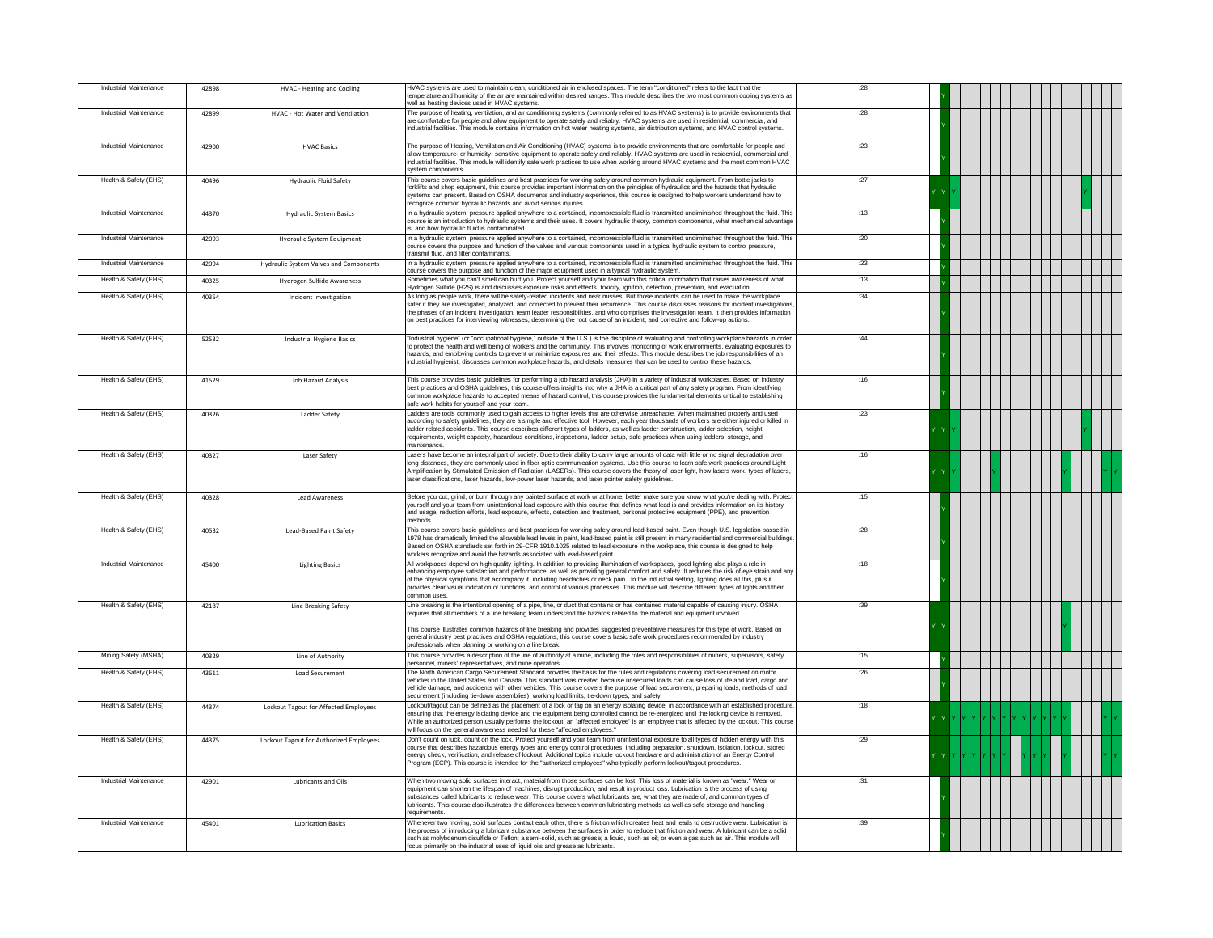| Industrial Maintenance | 42898 | HVAC - Heating and Cooling              | HVAC systems are used to maintain clean, conditioned air in enclosed spaces. The term "conditioned" refers to the fact that the<br>temperature and humidity of the air are maintained within desired ranges. This module describes the two most common cooling systems as<br>well as heating devices used in HVAC systems.                                                                                                                                                                                                                                                                             | :28        |  |
|------------------------|-------|-----------------------------------------|--------------------------------------------------------------------------------------------------------------------------------------------------------------------------------------------------------------------------------------------------------------------------------------------------------------------------------------------------------------------------------------------------------------------------------------------------------------------------------------------------------------------------------------------------------------------------------------------------------|------------|--|
| Industrial Maintenance | 42899 | HVAC - Hot Water and Ventilation        | The purpose of heating, ventilation, and air conditioning systems (commonly referred to as HVAC systems) is to provide environments that<br>are comfortable for people and allow equipment to operate safely and reliably. HVAC systems are used in residential, commercial, and<br>industrial facilities. This module contains information on hot water heating systems, air distribution systems, and HVAC control systems.                                                                                                                                                                          | .28        |  |
| Industrial Maintenance | 42900 | <b>HVAC Basics</b>                      | The purpose of Heating, Ventilation and Air Conditioning (HVAC) systems is to provide environments that are comfortable for people and<br>allow temperature- or humidity- sensitive equipment to operate safely and reliably. HVAC systems are used in residential, commercial and<br>ndustrial facilities. This module will identify safe work practices to use when working around HVAC systems and the most common HVAC<br>system components.                                                                                                                                                       | :23        |  |
| Health & Safety (EHS)  | 40496 | <b>Hydraulic Fluid Safety</b>           | This course covers basic quidelines and best practices for working safely around common hydraulic equipment. From bottle jacks to<br>forklifts and shop equipment, this course provides important information on the principles of hydraulics and the hazards that hydraulic<br>systems can present. Based on OSHA documents and industry experience, this course is designed to help workers understand how to<br>recognize common hydraulic hazards and avoid serious injuries.                                                                                                                      | :27        |  |
| Industrial Maintenance | 44370 | <b>Hydraulic System Basics</b>          | In a hydraulic system, pressure applied anywhere to a contained, incompressible fluid is transmitted undiminished throughout the fluid. This<br>course is an introduction to hydraulic systems and their uses. It covers hydraulic theory, common components, what mechanical advantage<br>s, and how hydraulic fluid is contaminated.                                                                                                                                                                                                                                                                 | :13        |  |
| Industrial Maintenance | 42093 | <b>Hydraulic System Equipment</b>       | In a hydraulic system, pressure applied anywhere to a contained, incompressible fluid is transmitted undiminished throughout the fluid. This<br>course covers the purpose and function of the valves and various components used in a typical hydraulic system to control pressure<br>transmit fluid, and filter contaminants.                                                                                                                                                                                                                                                                         | :20        |  |
| Industrial Maintenance | 42094 | Hydraulic System Valves and Components  | In a hydraulic system, pressure applied anywhere to a contained, incompressible fluid is transmitted undiminished throughout the fluid. This<br>course covers the purpose and function of the major equipment used in a typical hydraulic system.                                                                                                                                                                                                                                                                                                                                                      | :23        |  |
| Health & Safety (EHS)  | 40325 | Hydrogen Sulfide Awareness              | Sometimes what you can't smell can hurt you. Protect yourself and your team with this critical information that raises awareness of what<br>Hydrogen Sulfide (H2S) is and discusses exposure risks and effects, toxicity, ignition, detection, prevention, and evacuation.                                                                                                                                                                                                                                                                                                                             | :13        |  |
| Health & Safety (EHS)  | 40354 | Incident Investigation                  | As long as people work, there will be safety-related incidents and near misses. But those incidents can be used to make the workplace<br>safer if they are investigated, analyzed, and corrected to prevent their recurrence. This course discusses reasons for incident investigations<br>the phases of an incident investigation, team leader responsibilities, and who comprises the investigation team, It then provides information<br>on best practices for interviewing witnesses, determining the root cause of an incident, and corrective and follow-up actions                              | .34        |  |
| Health & Safety (EHS)  | 52532 | <b>Industrial Hygiene Basics</b>        | 'Industrial hygiene" (or "occupational hygiene," outside of the U.S.) is the discipline of evaluating and controlling workplace hazards in order<br>to protect the health and well being of workers and the community. This involves monitoring of work environments, evaluating exposures to<br>hazards, and employing controls to prevent or minimize exposures and their effects. This module describes the job responsibilities of an<br>ndustrial hygienist, discusses common workplace hazards, and details measures that can be used to control these hazards.                                  | .44        |  |
| Health & Safety (EHS)  | 41529 | Job Hazard Analysis                     | This course provides basic guidelines for performing a job hazard analysis (JHA) in a variety of industrial workplaces. Based on industry<br>best practices and OSHA guidelines, this course offers insights into why a JHA is a critical part of any safety program. From identifying<br>common workplace hazards to accepted means of hazard control, this course provides the fundamental elements critical to establishing<br>safe work habits for yourself and your team.                                                                                                                         | :16        |  |
| Health & Safety (EHS)  | 40326 | Ladder Safety                           | Ladders are tools commonly used to gain access to higher levels that are otherwise unreachable. When maintained properly and used<br>according to safety guidelines, they are a simple and effective tool. However, each year thousands of workers are either injured or killed in<br>ladder related accidents. This course describes different types of ladders, as well as ladder construction, ladder selection, height<br>requirements, weight capacity, hazardous conditions, inspections, ladder setup, safe practices when using ladders, storage, and<br>naintenance.                          | :23        |  |
| Health & Safety (EHS)  | 40327 | Laser Safety                            | asers have become an integral part of society. Due to their ability to carry large amounts of data with little or no signal degradation over<br>long distances, they are commonly used in fiber optic communication systems. Use this course to learn safe work practices around Light<br>.<br>Amplification by Stimulated Emission of Radiation (LASERs). This course covers the theory of laser light, how lasers work, types of lasers,<br>aser classifications, laser hazards, low-power laser hazards, and laser pointer safety quidelines.                                                       | :16        |  |
| Health & Safety (EHS)  | 40328 | <b>Lead Awareness</b>                   | Before you cut, grind, or burn through any painted surface at work or at home, better make sure you know what you're dealing with. Protec<br>yourself and your team from unintentional lead exposure with this course that defines what lead is and provides information on its history<br>and usage, reduction efforts, lead exposure, effects, detection and treatment, personal protective equipment (PPE), and prevention<br>methods.                                                                                                                                                              | :15        |  |
| Health & Safety (EHS)  | 40532 | Lead-Based Paint Safety                 | This course covers basic quidelines and best practices for working safely around lead-based paint. Even though U.S. legislation passed in<br>1978 has dramatically limited the allowable lead levels in paint, lead-based paint is still present in many residential and commercial buildings.<br>Based on OSHA standards set forth in 29-CFR 1910.1025 related to lead exposure in the workplace, this course is designed to help<br>workers recognize and avoid the hazards associated with lead-based paint.                                                                                        | :28        |  |
| Industrial Maintenance | 45400 | <b>Lighting Basics</b>                  | All workplaces depend on high quality lighting. In addition to providing illumination of workspaces, good lighting also plays a role in<br>enhancing employee satisfaction and performance, as well as providing general comfort and safety. It reduces the risk of eye strain and any<br>of the physical symptoms that accompany it, including headaches or neck pain. In the industrial setting, lighting does all this, plus it<br>provides clear visual indication of functions, and control of various processes. This module will describe different types of lights and their<br>common uses    | :18        |  |
| Health & Safety (EHS)  | 42187 | Line Breaking Safety                    | Line breaking is the intentional opening of a pipe, line, or duct that contains or has contained material capable of causing injury. OSHA<br>equires that all members of a line breaking team understand the hazards related to the material and equipment involved.<br>This course illustrates common hazards of line breaking and provides suggested preventative measures for this type of work. Based on<br>general industry best practices and OSHA regulations, this course covers basic safe work procedures recommended by industry<br>professionals when planning or working on a line break. | :39        |  |
| Mining Safety (MSHA)   | 40329 | Line of Authority                       | This course provides a description of the line of authority at a mine, including the roles and responsibilities of miners, supervisors, safety<br>personnel, miners' representatives, and mine operators.                                                                                                                                                                                                                                                                                                                                                                                              | :15        |  |
| Health & Safety (EHS)  | 43611 | Load Securement                         | The North American Cargo Securement Standard provides the basis for the rules and regulations covering load securement on motor<br>vehicles in the United States and Canada. This standard was created because unsecured loads can cause loss of life and load, cargo and<br>vehicle damage, and accidents with other vehicles. This course covers the purpose of load securement, preparing loads, methods of load<br>securement (including tie-down assemblies), working load limits, tie-down types, and safety.                                                                                    | :26        |  |
| Health & Safety (EHS)  | 44374 | Lockout Tagout for Affected Employees   | Lockout/tagout can be defined as the placement of a lock or tag on an energy isolating device, in accordance with an established procedure<br>ensuring that the energy isolating device and the equipment being controlled cannot be re-energized until the locking device is removed.<br>While an authorized person usually performs the lockout, an "affected employee" is an employee that is affected by the lockout. This course<br>will focus on the general awareness needed for these "affected employees."                                                                                    | :18        |  |
| Health & Safety (EHS)  | 44375 | Lockout Tagout for Authorized Employees | Don't count on luck, count on the lock. Protect yourself and your team from unintentional exposure to all types of hidden energy with this<br>course that describes hazardous energy types and energy control procedures, including preparation, shutdown, isolation, lockout, stored<br>energy check, verification, and release of lockout. Additional topics include lockout hardware and administration of an Energy Control<br>Program (ECP). This course is intended for the "authorized employees" who typically perform lockout/tagout procedures.                                              | :29        |  |
| Industrial Maintenance | 42901 | Lubricants and Oils                     | When two moving solid surfaces interact, material from those surfaces can be lost. This loss of material is known as "wear." Wear on<br>equipment can shorten the lifespan of machines, disrupt production, and result in product loss. Lubrication is the process of using<br>substances called lubricants to reduce wear. This course covers what lubricants are, what they are made of, and common types of<br>lubricants. This course also illustrates the differences between common lubricating methods as well as safe storage and handling<br>requirements.                                    | $\cdot$ 31 |  |
| Industrial Maintenance | 45401 | <b>Lubrication Basics</b>               | Whenever two moving, solid surfaces contact each other, there is friction which creates heat and leads to destructive wear. Lubrication is<br>the process of introducing a lubricant substance between the surfaces in order to reduce that friction and wear. A lubricant can be a solid<br>such as molybdenum disulfide or Teflon; a semi-solid, such as grease; a liquid, such as oil; or even a gas such as air. This module will<br>focus primarily on the industrial uses of liquid oils and grease as lubricants.                                                                               | :39        |  |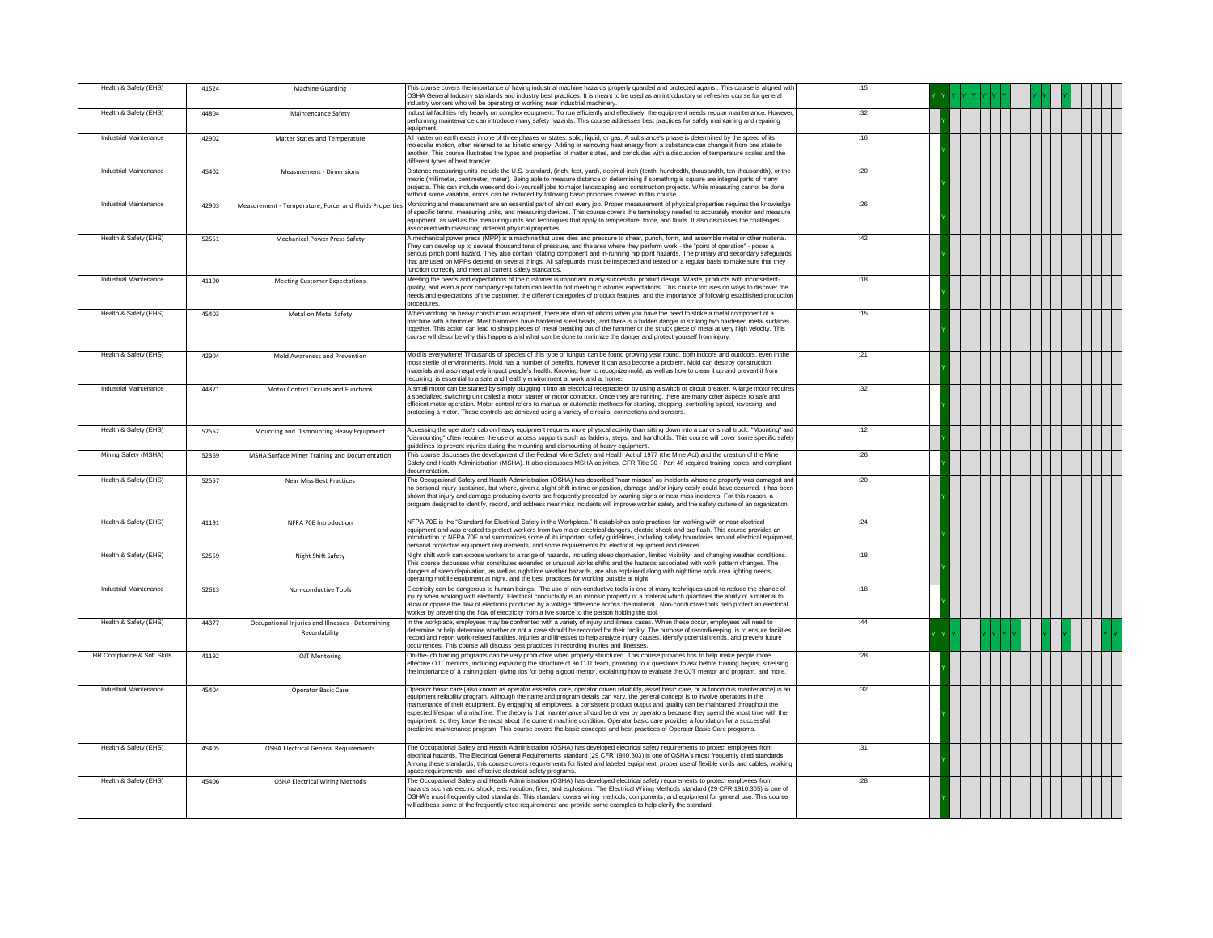| Health & Safety (EHS)         | 41524 | <b>Machine Guarding</b>                                            | This course covers the importance of having industrial machine hazards properly guarded and protected against. This course is aligned with<br>OSHA General Industry standards and industry best practices. It is meant to be used as an introductory or refresher course for general<br>industry workers who will be operating or working near industrial machinery.                                                                                                                                                                                                                                                                                                                                                                                                                                                               | :15  |  |
|-------------------------------|-------|--------------------------------------------------------------------|------------------------------------------------------------------------------------------------------------------------------------------------------------------------------------------------------------------------------------------------------------------------------------------------------------------------------------------------------------------------------------------------------------------------------------------------------------------------------------------------------------------------------------------------------------------------------------------------------------------------------------------------------------------------------------------------------------------------------------------------------------------------------------------------------------------------------------|------|--|
| Health & Safety (EHS)         | 44804 | Maintencance Safety                                                | Industrial facilities rely heavily on complex equipment. To run efficiently and effectively, the equipment needs reqular maintenance. However,<br>performing maintenance can introduce many safety hazards. This course addresses best practices for safely maintaining and repairing<br>equipment.                                                                                                                                                                                                                                                                                                                                                                                                                                                                                                                                | 32   |  |
| Industrial Maintenance        | 42902 | Matter States and Temperature                                      | All matter on earth exists in one of three phases or states: solid, liquid, or gas. A substance's phase is determined by the speed of its<br>molecular motion, often referred to as kinetic energy. Adding or removing heat energy from a substance can change it from one state to<br>another. This course illustrates the types and properties of matter states, and concludes with a discussion of temperature scales and the<br>different types of heat transfer.                                                                                                                                                                                                                                                                                                                                                              | :16  |  |
| Industrial Maintenance        | 45402 | Measurement - Dimensions                                           | Distance measuring units include the U.S. standard, (inch, feet, yard), decimal-inch (tenth, hundredth, thousandth, ten-thousandth), or the<br>metric (millimeter, centimeter, meter). Being able to measure distance or determining if something is square are integral parts of many<br>projects. This can include weekend do-it-yourself jobs to major landscaping and construction projects. While measuring cannot be done<br>without some variation, errors can be reduced by following basic principles covered in this course.                                                                                                                                                                                                                                                                                             | :20  |  |
| <b>Industrial Maintenance</b> | 42903 | Measurement - Temperature, Force, and Fluids Properties            | Monitoring and measurement are an essential part of almost every job. Proper measurement of physical properties requires the knowledge<br>of specific terms, measuring units, and measuring devices. This course covers the terminology needed to accurately monitor and measure<br>equipment, as well as the measuring units and techniques that apply to temperature, force, and fluids. It also discusses the challenges<br>associated with measuring different physical properties.                                                                                                                                                                                                                                                                                                                                            | :26  |  |
| Health & Safety (EHS)         | 52551 | Mechanical Power Press Safety                                      | A mechanical power press (MPP) is a machine that uses dies and pressure to shear, punch, form, and assemble metal or other material.<br>They can develop up to several thousand tons of pressure, and the area where they perform work - the "point of operation" - poses a<br>serious pinch point hazard. They also contain rotating component and in-running nip point hazards. The primary and secondary safeguards<br>that are used on MPPs depend on several things. All safeguards must be inspected and tested on a regular basis to make sure that they<br>function correctly and meet all current safety standards.                                                                                                                                                                                                       | .42  |  |
| Industrial Maintenance        | 41190 | <b>Meeting Customer Expectations</b>                               | Meeting the needs and expectations of the customer is important in any successful product design. Waste, products with inconsistent-<br>quality, and even a poor company reputation can lead to not meeting customer expectations. This course focuses on ways to discover the<br>needs and expectations of the customer, the different categories of product features, and the importance of following established production<br>procedures.                                                                                                                                                                                                                                                                                                                                                                                      | :18  |  |
| Health & Safety (EHS)         | 45403 | Metal on Metal Safety                                              | When working on heavy construction equipment, there are often situations when you have the need to strike a metal component of a<br>machine with a hammer. Most hammers have hardened steel heads, and there is a hidden danger in striking two hardened metal surfaces<br>together. This action can lead to sharp pieces of metal breaking out of the hammer or the struck piece of metal at very high velocity. This<br>course will describe why this happens and what can be done to minimize the danger and protect yourself from injury.                                                                                                                                                                                                                                                                                      | :15  |  |
| Health & Safety (EHS)         | 42904 | Mold Awareness and Prevention                                      | Mold is everywhere! Thousands of species of this type of fungus can be found growing year round, both indoors and outdoors, even in the<br>most sterile of environments. Mold has a number of benefits, however it can also become a problem. Mold can destroy construction<br>materials and also negatively impact people's health. Knowing how to recognize mold, as well as how to clean it up and prevent it from<br>ecurring, is essential to a safe and healthy environment at work and at home.                                                                                                                                                                                                                                                                                                                             | :21  |  |
| Industrial Maintenance        | 44371 | Motor Control Circuits and Functions                               | A small motor can be started by simply plugging it into an electrical receptacle or by using a switch or circuit breaker. A large motor requires<br>a specialized switching unit called a motor starter or motor contactor. Once they are running, there are many other aspects to safe and<br>efficient motor operation. Motor control refers to manual or automatic methods for starting, stopping, controlling speed, reversing, and<br>protecting a motor. These controls are achieved using a variety of circuits, connections and sensors.                                                                                                                                                                                                                                                                                   | :32  |  |
| Health & Safety (EHS)         | 52552 | Mounting and Dismounting Heavy Equipment                           | Accessing the operator's cab on heavy equipment requires more physical activity than sitting down into a car or small truck. "Mounting" and<br>'dismounting" often requires the use of access supports such as ladders, steps, and handholds. This course will cover some specific safety<br>guidelines to prevent injuries during the mounting and dismounting of heavy equipment.                                                                                                                                                                                                                                                                                                                                                                                                                                                | :12  |  |
| Mining Safety (MSHA)          | 52369 | MSHA Surface Miner Training and Documentation                      | This course discusses the development of the Federal Mine Safety and Health Act of 1977 (the Mine Act) and the creation of the Mine<br>Safety and Health Administration (MSHA). It also discusses MSHA activities, CFR Title 30 - Part 46 required training topics, and compliant<br>documentation.                                                                                                                                                                                                                                                                                                                                                                                                                                                                                                                                | :26  |  |
| Health & Safety (EHS)         | 52557 | <b>Near Miss Best Practices</b>                                    | The Occupational Safety and Health Administration (OSHA) has described "near misses" as incidents where no property was damaged and<br>no personal injury sustained, but where, given a slight shift in time or position, damage and/or injury easily could have occurred. It has been<br>shown that injury and damage-producing events are frequently preceded by warning signs or near miss incidents. For this reason, a<br>program designed to identify, record, and address near miss incidents will improve worker safety and the safety culture of an organization.                                                                                                                                                                                                                                                         | :20  |  |
| Health & Safety (EHS)         | 41191 | NFPA 70E Introduction                                              | NFPA 70E is the "Standard for Electrical Safety in the Workplace." It establishes safe practices for working with or near electrical<br>equipment and was created to protect workers from two major electrical dangers, electric shock and arc flash. This course provides an<br>introduction to NFPA 70E and summarizes some of its important safety guidelines, including safety boundaries around electrical equipment,<br>bersonal protective equipment requirements, and some requirements for electrical equipment and devices.                                                                                                                                                                                                                                                                                              | : 24 |  |
| Health & Safety (EHS)         | 52559 | Night Shift Safety                                                 | Night shift work can expose workers to a range of hazards, including sleep deprivation, limited visibility, and changing weather conditions.<br>This course discusses what constitutes extended or unusual works shifts and the hazards associated with work pattern changes. The<br>dangers of sleep deprivation, as well as nighttime weather hazards, are also explained along with nighttime work area lighting needs.<br>operating mobile equipment at night, and the best practices for working outside at night.                                                                                                                                                                                                                                                                                                            | :18  |  |
| Industrial Maintenance        | 52613 | Non-conductive Tools                                               | Electricity can be dangerous to human beings. The use of non-conductive tools is one of many techniques used to reduce the chance of<br>injury when working with electricity. Electrical conductivity is an intrinsic property of a material which quantifies the ability of a material to<br>allow or oppose the flow of electrons produced by a voltage difference across the material. Non-conductive tools help protect an electrical<br>worker by preventing the flow of electricity from a live source to the person holding the tool.                                                                                                                                                                                                                                                                                       | :18  |  |
| Health & Safety (EHS)         | 44377 | Occupational Injuries and Illnesses - Determining<br>Recordability | In the workplace, employees may be confronted with a variety of injury and illness cases. When these occur, employees will need to<br>determine or help determine whether or not a case should be recorded for their facility. The purpose of recordkeeping is to ensure facilities<br>record and report work-related fatalities, iniuries and illnesses to help analyze iniury causes, identify potential trends, and prevent future<br>occurrences. This course will discuss best practices in recording injuries and illnesses.                                                                                                                                                                                                                                                                                                 | .44  |  |
| HR Compliance & Soft Skills   | 41192 | OJT Mentoring                                                      | On-the-job training programs can be very productive when properly structured. This course provides tips to help make people more<br>effective OJT mentors, including explaining the structure of an OJT team, providing four questions to ask before training begins, stressing<br>the importance of a training plan, giving tips for being a good mentor, explaining how to evaluate the OJT mentor and program, and more.                                                                                                                                                                                                                                                                                                                                                                                                        | :28  |  |
| Industrial Maintenance        | 45404 | <b>Operator Basic Care</b>                                         | Operator basic care (also known as operator essential care, operator driven reliability, asset basic care, or autonomous maintenance) is an<br>equipment reliability program. Although the name and program details can vary, the general concept is to involve operators in the<br>maintenance of their equipment. By engaging all employees, a consistent product output and quality can be maintained throughout the<br>expected lifespan of a machine. The theory is that maintenance should be driven by operators because they spend the most time with the<br>equipment, so they know the most about the current machine condition. Operator basic care provides a foundation for a successful<br>predictive maintenance program. This course covers the basic concepts and best practices of Operator Basic Care programs. | :32  |  |
| Health & Safety (EHS)         | 45405 | <b>OSHA Electrical General Requirements</b>                        | The Occupational Safety and Health Administration (OSHA) has developed electrical safety requirements to protect employees from<br>electrical hazards. The Electrical General Requirements standard (29 CFR 1910.303) is one of OSHA's most frequently cited standards.<br>Among these standards, this course covers requirements for listed and labeled equipment, proper use of flexible cords and cables, working<br>space requirements, and effective electrical safety programs.                                                                                                                                                                                                                                                                                                                                              | :31  |  |
| Health & Safety (EHS)         | 45406 | <b>OSHA Electrical Wiring Methods</b>                              | The Occupational Safety and Health Administration (OSHA) has developed electrical safety requirements to protect employees from<br>hazards such as electric shock, electrocution, fires, and explosions. The Electrical Wiring Methods standard (29 CFR 1910.305) is one of<br>OSHA's most frequently cited standards. This standard covers wiring methods, components, and equipment for general use. This course<br>will address some of the frequently cited requirements and provide some examples to help clarify the standard.                                                                                                                                                                                                                                                                                               | : 28 |  |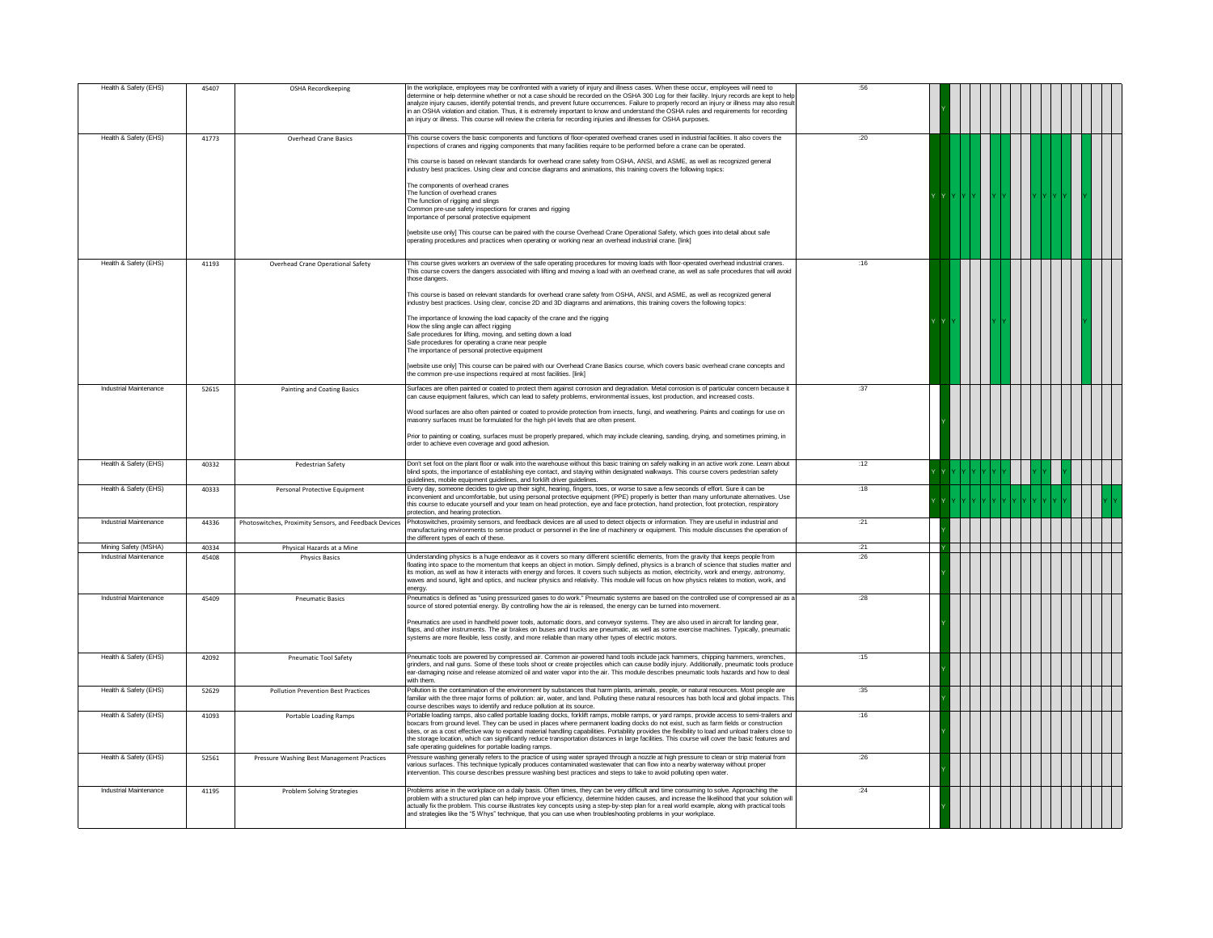| Health & Safety (EHS)  | 45407 | OSHA Recordkeeping                                     | In the workplace, employees may be confronted with a variety of injury and illness cases. When these occur, employees will need to<br>determine or help determine whether or not a case should be recorded on the OSHA 300 Log for their facility. Injury records are kept to help<br>analyze injury causes, identify potential trends, and prevent future occurrences. Failure to properly record an injury or illness may also result<br>in an OSHA violation and citation. Thus, it is extremely important to know and understand the OSHA rules and requirements for recording<br>an injury or illness. This course will review the criteria for recording injuries and illnesses for OSHA purposes. | :56  |  |
|------------------------|-------|--------------------------------------------------------|----------------------------------------------------------------------------------------------------------------------------------------------------------------------------------------------------------------------------------------------------------------------------------------------------------------------------------------------------------------------------------------------------------------------------------------------------------------------------------------------------------------------------------------------------------------------------------------------------------------------------------------------------------------------------------------------------------|------|--|
| Health & Safety (EHS)  | 41773 | <b>Overhead Crane Basics</b>                           | This course covers the basic components and functions of floor-operated overhead cranes used in industrial facilities. It also covers the<br>inspections of cranes and rigging components that many facilities require to be performed before a crane can be operated.<br>This course is based on relevant standards for overhead crane safety from OSHA, ANSI, and ASME, as well as recognized general<br>industry best practices. Using clear and concise diagrams and animations, this training covers the following topics:<br>The components of overhead cranes<br>The function of overhead cranes                                                                                                  | :20  |  |
|                        |       |                                                        | The function of rigging and slings<br>Common pre-use safety inspections for cranes and rigging<br>Importance of personal protective equipment<br>website use only] This course can be paired with the course Overhead Crane Operational Safety, which goes into detail about safe<br>operating procedures and practices when operating or working near an overhead industrial crane. [link]                                                                                                                                                                                                                                                                                                              |      |  |
| Health & Safety (EHS)  | 41193 | Overhead Crane Operational Safety                      | This course gives workers an overview of the safe operating procedures for moving loads with floor-operated overhead industrial cranes.<br>This course covers the dangers associated with lifting and moving a load with an overhead crane, as well as safe procedures that will avoid<br>those dangers<br>This course is based on relevant standards for overhead crane safety from OSHA, ANSI, and ASME, as well as recognized general<br>industry best practices. Using clear, concise 2D and 3D diagrams and animations, this training covers the following topics:                                                                                                                                  | :16  |  |
|                        |       |                                                        | The importance of knowing the load capacity of the crane and the rigging<br>How the sling angle can affect rigging<br>Safe procedures for lifting, moving, and setting down a load<br>Safe procedures for operating a crane near people<br>The importance of personal protective equipment<br>website use only] This course can be paired with our Overhead Crane Basics course, which covers basic overhead crane concepts and<br>the common pre-use inspections required at most facilities. [link]                                                                                                                                                                                                    |      |  |
| Industrial Maintenance | 52615 | <b>Painting and Coating Basics</b>                     | Surfaces are often painted or coated to protect them against corrosion and degradation. Metal corrosion is of particular concern because it<br>can cause equipment failures, which can lead to safety problems, environmental issues, lost production, and increased costs                                                                                                                                                                                                                                                                                                                                                                                                                               | :37  |  |
|                        |       |                                                        | Wood surfaces are also often painted or coated to provide protection from insects, fungi, and weathering. Paints and coatings for use on<br>masonry surfaces must be formulated for the high pH levels that are often present.<br>Prior to painting or coating, surfaces must be properly prepared, which may include cleaning, sanding, drying, and sometimes priming, in                                                                                                                                                                                                                                                                                                                               |      |  |
|                        |       |                                                        | order to achieve even coverage and good adhesion.                                                                                                                                                                                                                                                                                                                                                                                                                                                                                                                                                                                                                                                        |      |  |
| Health & Safety (EHS)  | 40332 | Pedestrian Safety                                      | Don't set foot on the plant floor or walk into the warehouse without this basic training on safely walking in an active work zone. Learn about<br>blind spots, the importance of establishing eye contact, and staying within designated walkways. This course covers pedestrian safety<br>guidelines, mobile equipment guidelines, and forklift driver guidelines.                                                                                                                                                                                                                                                                                                                                      | :12  |  |
| Health & Safety (EHS)  | 40333 | Personal Protective Equipment                          | Every day, someone decides to give up their sight, hearing, fingers, toes, or worse to save a few seconds of effort. Sure it can be<br>inconvenient and uncomfortable, but using personal protective equipment (PPE) properly is better than many unfortunate alternatives. Use<br>this course to educate yourself and your team on head protection, eye and face protection, hand protection, foot protection, respiratory<br>protection, and hearing protection                                                                                                                                                                                                                                        | :18  |  |
| Industrial Maintenance | 44336 | Photoswitches, Proximity Sensors, and Feedback Devices | Photoswitches, proximity sensors, and feedback devices are all used to detect objects or information. They are useful in industrial and<br>nanufacturing environments to sense product or personnel in the line of machinery or equipment. This module discusses the operation of<br>he different types of each of these                                                                                                                                                                                                                                                                                                                                                                                 | :21  |  |
| Mining Safety (MSHA)   | 40334 | Physical Hazards at a Mine                             |                                                                                                                                                                                                                                                                                                                                                                                                                                                                                                                                                                                                                                                                                                          | :21  |  |
| Industrial Maintenance | 45408 | <b>Physics Basics</b>                                  | Understanding physics is a huge endeavor as it covers so many different scientific elements, from the gravity that keeps people from<br>floating into space to the momentum that keeps an object in motion. Simply defined, physics is a branch of science that studies matter and<br>its motion, as well as how it interacts with energy and forces. It covers such subjects as motion, electricity, work and energy, astronomy,<br>waves and sound, light and optics, and nuclear physics and relativity. This module will focus on how physics relates to motion, work, and<br>enerav.                                                                                                                | :26  |  |
| Industrial Maintenance | 45409 | <b>Pneumatic Basics</b>                                | Pneumatics is defined as "using pressurized gases to do work." Pneumatic systems are based on the controlled use of compressed air as a<br>source of stored potential energy. By controlling how the air is released, the energy can be turned into movement<br>Pneumatics are used in handheld power tools, automatic doors, and conveyor systems. They are also used in aircraft for landing gear,<br>flaps, and other instruments. The air brakes on buses and trucks are pneumatic, as well as some exercise machines. Typically, pneumatic<br>systems are more flexible, less costly, and more reliable than many other types of electric motors.                                                   | : 28 |  |
| Health & Safety (EHS)  | 42092 | Pneumatic Tool Safety                                  | Pneumatic tools are powered by compressed air. Common air-powered hand tools include jack hammers, chipping hammers, wrenches,<br>grinders, and nail guns. Some of these tools shoot or create projectiles which can cause bodily injury. Additionally, pneumatic tools produce<br>ear-damaging noise and release atomized oil and water vapor into the air. This module describes pneumatic tools hazards and how to deal<br>with them.                                                                                                                                                                                                                                                                 | :15  |  |
| Health & Safety (EHS)  | 52629 | <b>Pollution Prevention Best Practices</b>             | Pollution is the contamination of the environment by substances that harm plants, animals, people, or natural resources. Most people are<br>amiliar with the three major forms of pollution: air, water, and land. Polluting these natural resources has both local and global impacts. This<br>course describes ways to identify and reduce pollution at its source.                                                                                                                                                                                                                                                                                                                                    | :35  |  |
| Health & Safety (EHS)  | 41093 | Portable Loading Ramps                                 | Portable loading ramps, also called portable loading docks, forklift ramps, mobile ramps, or yard ramps, provide access to semi-trailers and<br>boxcars from ground level. They can be used in places where permanent loading docks do not exist, such as farm fields or construction<br>sites, or as a cost effective way to expand material handling capabilities. Portability provides the flexibility to load and unload trailers close to<br>the storage location, which can significantly reduce transportation distances in large facilities. This course will cover the basic features and<br>safe operating guidelines for portable loading ramps.                                              | :16  |  |
| Health & Safety (EHS)  | 52561 | Pressure Washing Best Management Practices             | Pressure washing generally refers to the practice of using water sprayed through a nozzle at high pressure to clean or strip material from<br>various surfaces. This technique typically produces contaminated wastewater that can flow into a nearby waterway without proper<br>ntervention. This course describes pressure washing best practices and steps to take to avoid polluting open water                                                                                                                                                                                                                                                                                                      | :26  |  |
| Industrial Maintenance | 41195 | <b>Problem Solving Strategies</b>                      | Problems arise in the workplace on a daily basis. Often times, they can be very difficult and time consuming to solve. Approaching the<br>problem with a structured plan can help improve your efficiency, determine hidden causes, and increase the likelihood that your solution will<br>actually fix the problem. This course illustrates key concepts using a step-by-step plan for a real world example, along with practical tools<br>and strategies like the "5 Whys" technique, that you can use when troubleshooting problems in your workplace.                                                                                                                                                | :24  |  |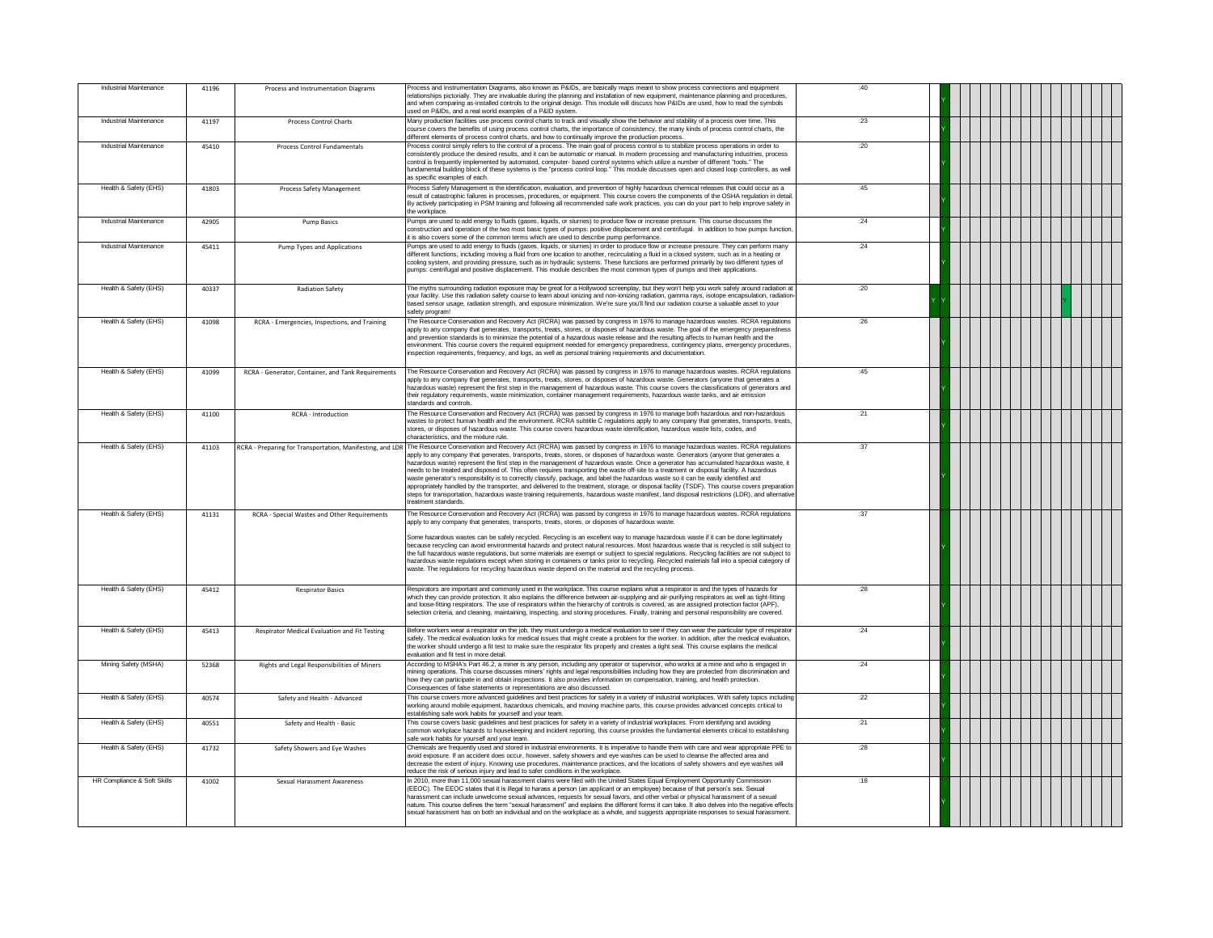| Industrial Maintenance      | 41196 | Process and Instrumentation Diagrams                      | Process and Instrumentation Diagrams, also known as P&IDs, are basically maps meant to show process connections and equipment<br>relationships pictorially. They are invaluable during the planning and installation of new equipment, maintenance planning and procedures,<br>and when comparing as-installed controls to the original design. This module will discuss how P&IDs are used, how to read the symbols<br>used on P&IDs, and a real world examples of a P&ID system.                                                                                                                                                                                                                                                                                                                                                                                                                                                                                                                                          | :40  |  |
|-----------------------------|-------|-----------------------------------------------------------|-----------------------------------------------------------------------------------------------------------------------------------------------------------------------------------------------------------------------------------------------------------------------------------------------------------------------------------------------------------------------------------------------------------------------------------------------------------------------------------------------------------------------------------------------------------------------------------------------------------------------------------------------------------------------------------------------------------------------------------------------------------------------------------------------------------------------------------------------------------------------------------------------------------------------------------------------------------------------------------------------------------------------------|------|--|
| Industrial Maintenance      | 41197 | Process Control Charts                                    | Many production facilities use process control charts to track and visually show the behavior and stability of a process over time. This<br>course covers the benefits of using process control charts, the importance of consistency, the many kinds of process control charts, the<br>different elements of process control charts, and how to continually improve the production process.                                                                                                                                                                                                                                                                                                                                                                                                                                                                                                                                                                                                                                | : 23 |  |
| Industrial Maintenance      | 45410 | Process Control Fundamentals                              | Process control simply refers to the control of a process. The main goal of process control is to stabilize process operations in order to<br>consistently produce the desired results, and it can be automatic or manual. In modern processing and manufacturing industries, process<br>control is frequently implemented by automated, computer- based control systems which utilize a number of different "tools." The<br>fundamental building block of these systems is the "process control loop." This module discusses open and closed loop controllers, as well<br>as specific examples of each                                                                                                                                                                                                                                                                                                                                                                                                                     | :20  |  |
| Health & Safety (EHS)       | 41803 | Process Safety Management                                 | Process Safety Management is the identification, evaluation, and prevention of highly hazardous chemical releases that could occur as a<br>result of catastrophic failures in processes, procedures, or equipment. This course covers the components of the OSHA regulation in detail.<br>By actively participating in PSM training and following all recommended safe work practices, you can do your part to help improve safety in<br>the workplace.                                                                                                                                                                                                                                                                                                                                                                                                                                                                                                                                                                     | :45  |  |
| Industrial Maintenance      | 42905 | Pump Basics                                               | Pumps are used to add energy to fluids (gases, liquids, or slurries) to produce flow or increase pressure. This course discusses the<br>construction and operation of the two most basic types of pumps; positive displacement and centrifugal. In addition to how pumps function<br>it is also covers some of the common terms which are used to describe pump performance.                                                                                                                                                                                                                                                                                                                                                                                                                                                                                                                                                                                                                                                | .24  |  |
| Industrial Maintenance      | 45411 | Pump Types and Applications                               | Pumps are used to add energy to fluids (gases, liquids, or slurries) in order to produce flow or increase pressure. They can perform many<br>different functions, including moving a fluid from one location to another, recirculating a fluid in a closed system, such as in a heating or<br>cooling system, and providing pressure, such as in hydraulic systems. These functions are performed primarily by two different types of<br>pumps: centrifugal and positive displacement. This module describes the most common types of pumps and their applications.                                                                                                                                                                                                                                                                                                                                                                                                                                                         | :24  |  |
| Health & Safety (EHS)       | 40337 | <b>Radiation Safety</b>                                   | The myths surrounding radiation exposure may be great for a Hollywood screenplay, but they won't help you work safely around radiation at<br>your facility. Use this radiation safety course to learn about ionizing and non-ionizing radiation, gamma rays, isotope encapsulation, radiation<br>.<br>based sensor usage, radiation strength, and exposure minimization. We're sure you'll find our radiation course a valuable asset to your<br>safety program!                                                                                                                                                                                                                                                                                                                                                                                                                                                                                                                                                            | :20  |  |
| Health & Safety (EHS)       | 41098 | RCRA - Emergencies, Inspections, and Training             | The Resource Conservation and Recovery Act (RCRA) was passed by congress in 1976 to manage hazardous wastes. RCRA regulations<br>apply to any company that generates, transports, treats, stores, or disposes of hazardous waste. The goal of the emergency preparedness<br>and prevention standards is to minimize the potential of a hazardous waste release and the resulting affects to human health and the<br>environment. This course covers the required equipment needed for emergency preparedness, contingency plans, emergency procedures,<br>inspection requirements, frequency, and logs, as well as personal training requirements and documentation.                                                                                                                                                                                                                                                                                                                                                        | :26  |  |
| Health & Safety (EHS)       | 41099 | RCRA - Generator, Container, and Tank Requirements        | The Resource Conservation and Recovery Act (RCRA) was passed by congress in 1976 to manage hazardous wastes. RCRA regulations<br>apply to any company that generates, transports, treats, stores, or disposes of hazardous waste. Generators (anyone that generates a<br>hazardous waste) represent the first step in the management of hazardous waste. This course covers the classifications of generators and<br>their regulatory requirements, waste minimization, container management requirements, hazardous waste tanks, and air emission<br>standards and controls.                                                                                                                                                                                                                                                                                                                                                                                                                                               | :45  |  |
| Health & Safety (EHS)       | 41100 | RCRA - Introduction                                       | The Resource Conservation and Recovery Act (RCRA) was passed by congress in 1976 to manage both hazardous and non-hazardous<br>wastes to protect human health and the environment. RCRA subtitle C regulations apply to any company that generates, transports, treats,<br>stores, or disposes of hazardous waste. This course covers hazardous waste identification, hazardous waste lists, codes, and<br>characteristics, and the mixture rule.                                                                                                                                                                                                                                                                                                                                                                                                                                                                                                                                                                           | .21  |  |
| Health & Safety (EHS)       | 41103 | RCRA - Preparing for Transportation, Manifesting, and LDR | The Resource Conservation and Recovery Act (RCRA) was passed by congress in 1976 to manage hazardous wastes. RCRA regulations<br>apply to any company that generates, transports, treats, stores, or disposes of hazardous waste. Generators (anyone that generates a<br>hazardous waste) represent the first step in the management of hazardous waste. Once a generator has accumulated hazardous waste, it<br>needs to be treated and disposed of. This often requires transporting the waste off-site to a treatment or disposal facility. A hazardous<br>waste generator's responsibility is to correctly classify, package, and label the hazardous waste so it can be easily identified and<br>appropriately handled by the transporter, and delivered to the treatment, storage, or disposal facility (TSDF). This course covers preparation<br>steps for transportation, hazardous waste training requirements, hazardous waste manifest, land disposal restrictions (LDR), and alternative<br>reatment standards. | :37  |  |
| Health & Safety (EHS)       | 41131 | RCRA - Special Wastes and Other Requirements              | The Resource Conservation and Recovery Act (RCRA) was passed by congress in 1976 to manage hazardous wastes. RCRA regulations<br>apply to any company that generates, transports, treats, stores, or disposes of hazardous waste.<br>Some hazardous wastes can be safely recycled. Recycling is an excellent way to manage hazardous waste if it can be done legitimately<br>because recycling can avoid environmental hazards and protect natural resources. Most hazardous waste that is recycled is still subject to<br>the full hazardous waste regulations, but some materials are exempt or subject to special regulations. Recycling facilities are not subject to<br>hazardous waste regulations except when storing in containers or tanks prior to recycling. Recycled materials fall into a special category of<br>waste. The regulations for recycling hazardous waste depend on the material and the recycling process.                                                                                        | :37  |  |
| Health & Safety (EHS)       | 45412 | <b>Respirator Basics</b>                                  | Respirators are important and commonly used in the workplace. This course explains what a respirator is and the types of hazards for<br>which they can provide protection. It also explains the difference between air-supplying and air-purifying respirators as well as tight-fitting<br>and loose-fitting respirators. The use of respirators within the hierarchy of controls is covered, as are assigned protection factor (APF),<br>selection criteria, and cleaning, maintaining, inspecting, and storing procedures. Finally, training and personal responsibility are covered.                                                                                                                                                                                                                                                                                                                                                                                                                                     | :28  |  |
| Health & Safety (EHS)       | 45413 | Respirator Medical Evaluation and Fit Testing             | Before workers wear a respirator on the job, they must undergo a medical evaluation to see if they can wear the particular type of respirator<br>safely. The medical evaluation looks for medical issues that might create a problem for the worker. In addition, after the medical evaluation,<br>the worker should undergo a fit test to make sure the respirator fits properly and creates a tight seal. This course explains the medical<br>evaluation and fit test in more detail.                                                                                                                                                                                                                                                                                                                                                                                                                                                                                                                                     | :24  |  |
| Mining Safety (MSHA)        | 52368 | Rights and Legal Responsibilities of Miners               | According to MSHA's Part 46.2, a miner is any person, including any operator or supervisor, who works at a mine and who is engaged in<br>mining operations. This course discusses miners' rights and legal responsibilities including how they are protected from discrimination and<br>how they can participate in and obtain inspections. It also provides information on compensation, training, and health protection.<br>Consequences of false statements or representations are also discussed.                                                                                                                                                                                                                                                                                                                                                                                                                                                                                                                       | :24  |  |
| Health & Safety (EHS)       | 40574 | Safety and Health - Advanced                              | This course covers more advanced guidelines and best practices for safety in a variety of industrial workplaces. With safety topics including<br>working around mobile equipment, hazardous chemicals, and moving machine parts, this course provides advanced concepts critical to<br>establishing safe work habits for yourself and your team.                                                                                                                                                                                                                                                                                                                                                                                                                                                                                                                                                                                                                                                                            | :22  |  |
| Health & Safety (EHS)       | 40551 | Safety and Health - Basic                                 | This course covers basic guidelines and best practices for safety in a variety of industrial workplaces. From identifying and avoiding<br>common workplace hazards to housekeeping and incident reporting, this course provides the fundamental elements critical to establishing<br>safe work habits for yourself and your team.                                                                                                                                                                                                                                                                                                                                                                                                                                                                                                                                                                                                                                                                                           | :21  |  |
| Health & Safety (EHS)       | 41732 | Safety Showers and Eye Washes                             | Chemicals are frequently used and stored in industrial environments. It is imperative to handle them with care and wear appropriate PPE to<br>avoid exposure. If an accident does occur, however, safety showers and eye washes can be used to cleanse the affected area and<br>decrease the extent of injury. Knowing use procedures, maintenance practices, and the locations of safety showers and eye washes will<br>reduce the risk of serious injury and lead to safer conditions in the workplace.                                                                                                                                                                                                                                                                                                                                                                                                                                                                                                                   | :28  |  |
| HR Compliance & Soft Skills | 41002 | Sexual Harassment Awareness                               | In 2010, more than 11,000 sexual harassment claims were filed with the United States Equal Employment Opportunity Commission<br>(EEOC). The EEOC states that it is illegal to harass a person (an applicant or an employee) because of that person's sex. Sexual<br>harassment can include unwelcome sexual advances, requests for sexual favors, and other verbal or physical harassment of a sexual<br>nature. This course defines the term "sexual harassment" and explains the different forms it can take. It also delves into the negative effects<br>sexual harassment has on both an individual and on the workplace as a whole, and suggests appropriate responses to sexual harassment.                                                                                                                                                                                                                                                                                                                           | :18  |  |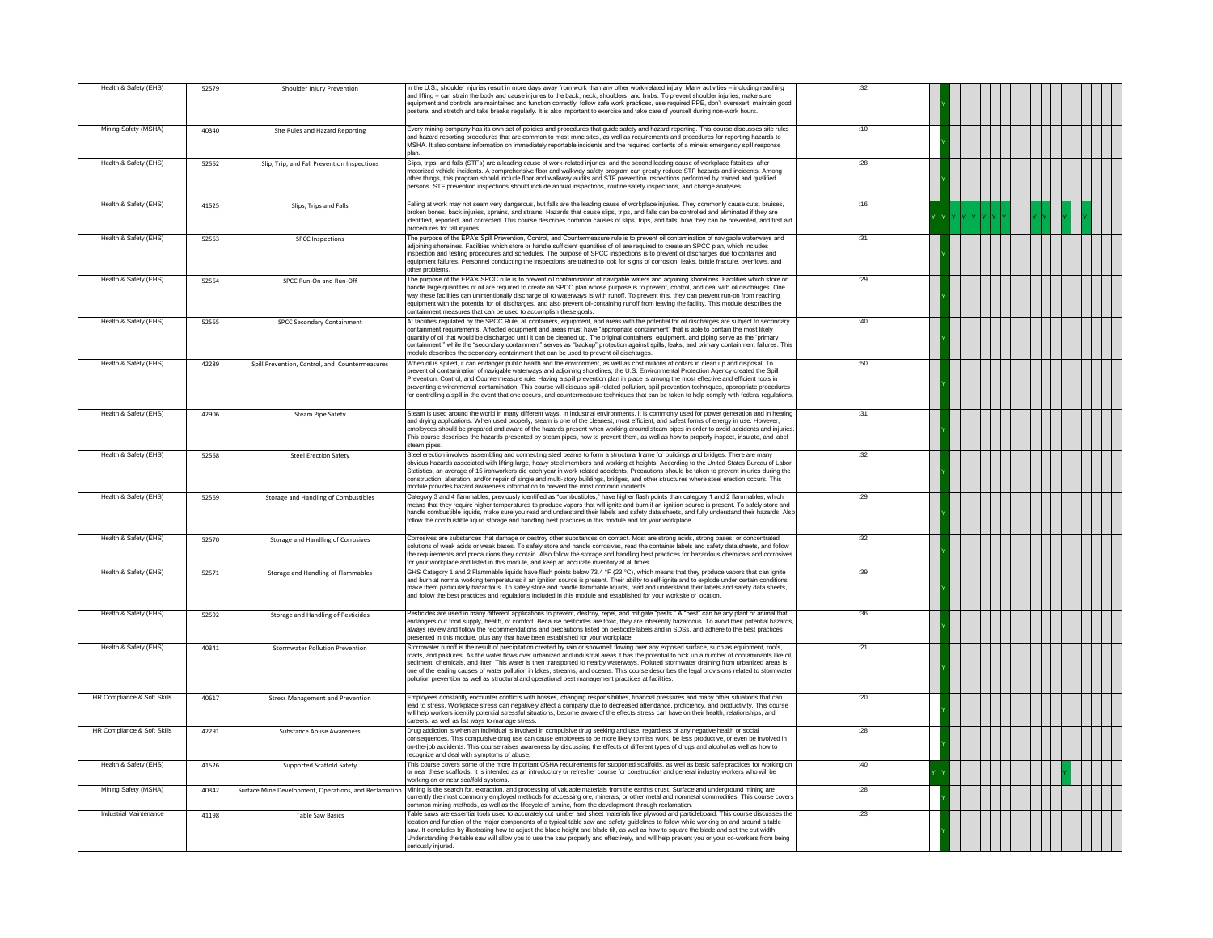| Health & Safety (EHS)                         | 52579 | Shoulder Injury Prevention                            | In the U.S., shoulder injuries result in more days away from work than any other work-related injury. Many activities – including reaching<br>and lifting - can strain the body and cause injuries to the back, neck, shoulders, and limbs. To prevent shoulder injuries, make sure<br>equipment and controls are maintained and function correctly, follow safe work practices, use required PPE, don't overexert, maintain good<br>posture, and stretch and take breaks regularly. It is also important to exercise and take care of yourself during non-work hours.                                                                                                                                                                | :32         |  |
|-----------------------------------------------|-------|-------------------------------------------------------|---------------------------------------------------------------------------------------------------------------------------------------------------------------------------------------------------------------------------------------------------------------------------------------------------------------------------------------------------------------------------------------------------------------------------------------------------------------------------------------------------------------------------------------------------------------------------------------------------------------------------------------------------------------------------------------------------------------------------------------|-------------|--|
| Mining Safety (MSHA)                          | 40340 | Site Rules and Hazard Reporting                       | Every mining company has its own set of policies and procedures that quide safety and hazard reporting. This course discusses site rules<br>and hazard reporting procedures that are common to most mine sites, as well as requirements and procedures for reporting hazards to<br>MSHA. It also contains information on immediately reportable incidents and the required contents of a mine's emergency spill response<br>nlan.                                                                                                                                                                                                                                                                                                     | :10         |  |
| Health & Safety (EHS)                         | 52562 | Slip, Trip, and Fall Prevention Inspections           | Slips, trips, and falls (STFs) are a leading cause of work-related injuries, and the second leading cause of workplace fatalities, after<br>motorized vehicle incidents. A comprehensive floor and walkway safety program can greatly reduce STF hazards and incidents. Among<br>other things, this program should include floor and walkway audits and STF prevention inspections performed by trained and qualified<br>bersons. STF prevention inspections should include annual inspections, routine safety inspections, and change analyses.                                                                                                                                                                                      | : 28        |  |
| Health & Safety (EHS)                         | 41525 | Slips, Trips and Falls                                | Falling at work may not seem very dangerous, but falls are the leading cause of workplace injuries. They commonly cause cuts, bruises,<br>broken bones, back injuries, sprains, and strains. Hazards that cause slips, trips, and falls can be controlled and eliminated if they are<br>identified, reported, and corrected. This course describes common causes of slips, trips, and falls, how they can be prevented, and first aid<br>procedures for fall injuries                                                                                                                                                                                                                                                                 | .16         |  |
| Health & Safety (EHS)                         | 52563 | <b>SPCC</b> Inspections                               | The purpose of the EPA's Spill Prevention, Control, and Countermeasure rule is to prevent oil contamination of navigable waterways and<br>adioining shorelines. Facilities which store or handle sufficient quantities of oil are required to create an SPCC plan, which includes<br>inspection and testing procedures and schedules. The purpose of SPCC inspections is to prevent oil discharges due to container and<br>equipment failures. Personnel conducting the inspections are trained to look for signs of corrosion, leaks, brittle fracture, overflows, and<br>other problems                                                                                                                                             | :31         |  |
| Health & Safety (EHS)                         | 52564 | SPCC Run-On and Run-Off                               | The purpose of the EPA's SPCC rule is to prevent oil contamination of navigable waters and adjoining shorelines. Facilities which store or<br>handle large quantities of oil are required to create an SPCC plan whose purpose is to prevent, control, and deal with oil discharges. One<br>way these facilities can unintentionally discharge oil to waterways is with runoff. To prevent this, they can prevent run-on from reaching<br>equipment with the potential for oil discharges, and also prevent oil-containing runoff from leaving the facility. This module describes the<br>containment measures that can be used to accomplish these goals.                                                                            | :29         |  |
| Health & Safety (EHS)                         | 52565 | SPCC Secondary Containment                            | At facilities regulated by the SPCC Rule, all containers, equipment, and areas with the potential for oil discharges are subject to secondary<br>containment requirements. Affected equipment and areas must have "appropriate containment" that is able to contain the most likely<br>quantity of oil that would be discharged until it can be cleaned up. The original containers, equipment, and piping serve as the "primary<br>containment," while the "secondary containment" serves as "backup" protection against spills, leaks, and primary containment failures. This<br>nodule describes the secondary containment that can be used to prevent oil discharges                                                              | :40         |  |
| Health & Safety (EHS)                         | 42289 | Spill Prevention, Control, and Countermeasures        | When oil is spilled, it can endanger public health and the environment, as well as cost millions of dollars in clean up and disposal. To<br>prevent oil contamination of navigable waterways and adjoining shorelines, the U.S. Environmental Protection Agency created the Spill<br>Prevention, Control, and Countermeasure rule. Having a spill prevention plan in place is among the most effective and efficient tools in<br>preventing environmental contamination. This course will discuss spill-related pollution, spill prevention techniques, appropriate procedures<br>.<br>for controlling a spill in the event that one occurs, and countermeasure techniques that can be taken to help comply with federal regulations. | :50         |  |
| Health & Safety (EHS)                         | 42906 | <b>Steam Pipe Safety</b>                              | Steam is used around the world in many different ways. In industrial environments, it is commonly used for power generation and in heating<br>and drying applications. When used properly, steam is one of the cleanest, most efficient, and safest forms of energy in use. However,<br>employees should be prepared and aware of the hazards present when working around steam pipes in order to avoid accidents and injuries<br>This course describes the hazards presented by steam pipes, how to prevent them, as well as how to properly inspect, insulate, and label<br>team pipes                                                                                                                                              | :31         |  |
| Health & Safety (EHS)                         | 52568 | <b>Steel Erection Safety</b>                          | Steel erection involves assembling and connecting steel beams to form a structural frame for buildings and bridges. There are many<br>obvious hazards associated with lifting large, heavy steel members and working at heights. According to the United States Bureau of Labor<br>Statistics, an average of 15 ironworkers die each year in work related accidents. Precautions should be taken to prevent injuries during the<br>construction, alteration, and/or repair of single and multi-story buildings, bridges, and other structures where steel erection occurs. This<br>nodule provides hazard awareness information to prevent the most common incidents.                                                                 | :32         |  |
| Health & Safety (EHS)                         | 52569 | Storage and Handling of Combustibles                  | Category 3 and 4 flammables, previously identified as "combustibles," have higher flash points than category 1 and 2 flammables, which<br>neans that they require higher temperatures to produce vapors that will ignite and burn if an ignition source is present. To safely store and<br>handle combustible liquids, make sure you read and understand their labels and safety data sheets, and fully understand their hazards. Also<br>ollow the combustible liquid storage and handling best practices in this module and for your workplace.                                                                                                                                                                                     | :29         |  |
| Health & Safety (EHS)                         | 52570 | Storage and Handling of Corrosives                    | Corrosives are substances that damage or destroy other substances on contact. Most are strong acids, strong bases, or concentrated<br>solutions of weak acids or weak bases. To safely store and handle corrosives, read the container labels and safety data sheets, and follow<br>the requirements and precautions they contain. Also follow the storage and handling best practices for hazardous chemicals and corrosives<br>for your workplace and listed in this module, and keep an accurate inventory at all times.                                                                                                                                                                                                           | :32         |  |
| Health & Safety (EHS)                         | 52571 | Storage and Handling of Flammables                    | GHS Category 1 and 2 Flammable liquids have flash points below 73.4 °F (23 °C), which means that they produce vapors that can ignite<br>and burn at normal working temperatures if an ignition source is present. Their ability to self-ignite and to explode under certain conditions<br>make them particularly hazardous. To safely store and handle flammable liquids, read and understand their labels and safety data sheets,<br>and follow the best practices and regulations included in this module and established for your worksite or location.                                                                                                                                                                            | :39         |  |
| Health & Safety (EHS)                         | 52592 | Storage and Handling of Pesticides                    | Pesticides are used in many different applications to prevent, destroy, repel, and mitigate "pests." A "pest" can be any plant or animal that<br>endangers our food supply, health, or comfort. Because pesticides are toxic, they are inherently bazardous. To avoid their potential bazards,<br>always review and follow the recommendations and precautions listed on pesticide labels and in SDSs, and adhere to the best practices<br>presented in this module, plus any that have been established for your workplace.                                                                                                                                                                                                          | :36         |  |
| Health & Safety (EHS)                         | 40341 | Stormwater Pollution Prevention                       | Stormwater runoff is the result of precipitation created by rain or snowmelt flowing over any exposed surface, such as equipment, roofs,<br>roads, and pastures. As the water flows over urbanized and industrial areas it has the potential to pick up a number of contaminants like oil<br>sediment, chemicals, and litter. This water is then transported to nearby waterways. Polluted stormwater draining from urbanized areas is<br>one of the leading causes of water pollution in lakes, streams, and oceans. This course describes the legal provisions related to stormwate<br>pollution prevention as well as structural and operational best management practices at facilities                                           | :21         |  |
| HR Compliance & Soft Skills                   | 40617 | <b>Stress Management and Prevention</b>               | Employees constantly encounter conflicts with bosses, changing responsibilities, financial pressures and many other situations that can<br>lead to stress. Workplace stress can negatively affect a company due to decreased attendance, proficiency, and productivity. This course<br>will help workers identify potential stressful situations, become aware of the effects stress can have on their health, relationships, and<br>careers, as well as list ways to manage stress.                                                                                                                                                                                                                                                  | :20         |  |
| HR Compliance & Soft Skills                   | 42291 | <b>Substance Abuse Awareness</b>                      | Drug addiction is when an individual is involved in compulsive drug seeking and use, regardless of any negative health or social<br>consequences. This compulsive drug use can cause employees to be more likely to miss work, be less productive, or even be involved in<br>on-the-job accidents. This course raises awareness by discussing the effects of different types of drugs and alcohol as well as how to<br>ecognize and deal with symptoms of abuse                                                                                                                                                                                                                                                                       | : 28        |  |
| Health & Safety (EHS)<br>Mining Safety (MSHA) | 41526 | Supported Scaffold Safety                             | This course covers some of the more important OSHA requirements for supported scaffolds, as well as basic safe practices for working on<br>or near these scaffolds. It is intended as an introductory or refresher course for construction and general industry workers who will be<br>vorking on or near scaffold systems<br>Mining is the search for, extraction, and processing of valuable materials from the earth's crust. Surface and underground mining are                                                                                                                                                                                                                                                                   | :40<br>: 28 |  |
| Industrial Maintenance                        | 40342 | Surface Mine Development, Operations, and Reclamation | currently the most commonly employed methods for accessing ore, minerals, or other metal and nonmetal commodities. This course covers<br>common mining methods, as well as the lifecycle of a mine, from the development through reclamation.                                                                                                                                                                                                                                                                                                                                                                                                                                                                                         | :23         |  |
|                                               | 41198 | <b>Table Saw Basics</b>                               | Fable saws are essential tools used to accurately cut lumber and sheet materials like plywood and particleboard. This course discusses the<br>location and function of the major components of a typical table saw and safety quidelines to follow while working on and around a table<br>saw. It concludes by illustrating how to adjust the blade height and blade tilt, as well as how to square the blade and set the cut width.<br>Understanding the table saw will allow you to use the saw properly and effectively, and will help prevent you or your co-workers from being<br>seriously injured.                                                                                                                             |             |  |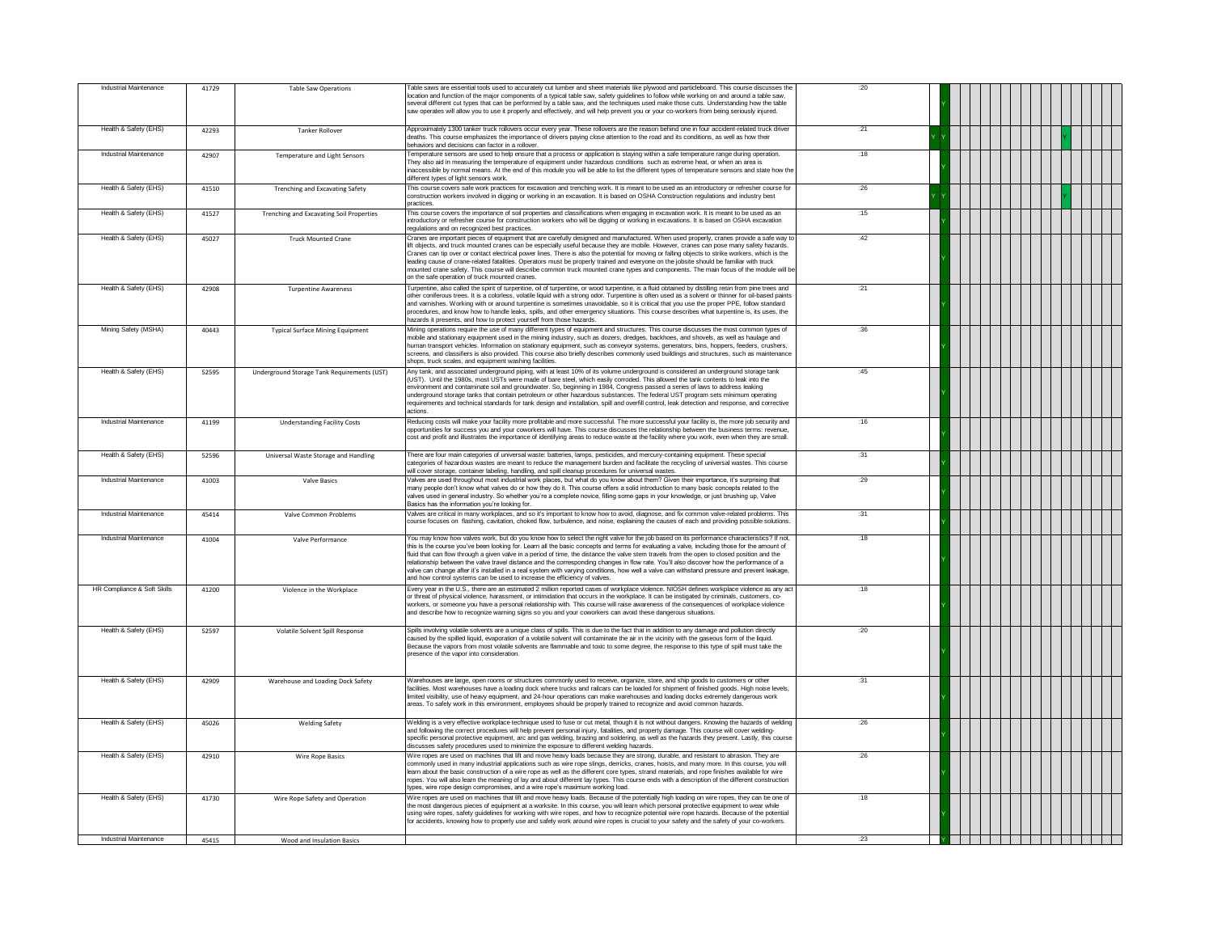| Industrial Maintenance      | 41729 | Table Saw Operations                            | Table saws are essential tools used to accurately cut lumber and sheet materials like plywood and particleboard. This course discusses the<br>location and function of the major components of a typical table saw, safety quidelines to follow while working on and around a table saw,<br>several different cut types that can be performed by a table saw, and the techniques used make those cuts. Understanding how the table<br>saw operates will allow you to use it properly and effectively, and will help prevent you or your co-workers from being seriously injured.                                                                                                                                                                                                                                  | :20 |                                           |
|-----------------------------|-------|-------------------------------------------------|-------------------------------------------------------------------------------------------------------------------------------------------------------------------------------------------------------------------------------------------------------------------------------------------------------------------------------------------------------------------------------------------------------------------------------------------------------------------------------------------------------------------------------------------------------------------------------------------------------------------------------------------------------------------------------------------------------------------------------------------------------------------------------------------------------------------|-----|-------------------------------------------|
| Health & Safety (EHS)       | 42293 | <b>Tanker Rollover</b>                          | Approximately 1300 tanker truck rollovers occur every year. These rollovers are the reason behind one in four accident-related truck driver<br>deaths. This course emphasizes the importance of drivers paying close attention to the road and its conditions, as well as how their<br>behaviors and decisions can factor in a rollover                                                                                                                                                                                                                                                                                                                                                                                                                                                                           | :21 |                                           |
| Industrial Maintenance      | 42907 | <b>Temperature and Light Sensors</b>            | Temperature sensors are used to help ensure that a process or application is staying within a safe temperature range during operation.<br>They also aid in measuring the temperature of equipment under hazardous conditions such as extreme heat, or when an area is<br>naccessible by normal means. At the end of this module you will be able to list the different types of temperature sensors and state how the<br>different types of light sensors work.                                                                                                                                                                                                                                                                                                                                                   | :18 |                                           |
| Health & Safety (EHS)       | 41510 | <b>Trenching and Excavating Safety</b>          | This course covers safe work practices for excavation and trenching work. It is meant to be used as an introductory or refresher course for<br>construction workers involved in digging or working in an excavation. It is based on OSHA Construction regulations and industry best<br>practices.                                                                                                                                                                                                                                                                                                                                                                                                                                                                                                                 | :26 |                                           |
| Health & Safety (EHS)       | 41527 | <b>Trenching and Excavating Soil Properties</b> | This course covers the importance of soil properties and classifications when engaging in excavation work. It is meant to be used as an<br>introductory or refresher course for construction workers who will be digging or working in excavations. It is based on OSHA excavation<br>egulations and on recognized best practices.                                                                                                                                                                                                                                                                                                                                                                                                                                                                                | :15 |                                           |
| Health & Safety (EHS)       | 45027 | <b>Truck Mounted Crane</b>                      | Cranes are important pieces of equipment that are carefully designed and manufactured. When used properly, cranes provide a safe way to<br>lift objects, and truck mounted cranes can be especially useful because they are mobile. However, cranes can pose many safety hazards,<br>Cranes can tip over or contact electrical power lines. There is also the potential for moving or falling objects to strike workers, which is the<br>leading cause of crane-related fatalities. Operators must be properly trained and everyone on the jobsite should be familiar with truck<br>mounted crane safety. This course will describe common truck mounted crane types and components. The main focus of the module will be<br>on the safe operation of truck mounted cranes                                        | :42 |                                           |
| Health & Safety (EHS)       | 42908 | <b>Turpentine Awareness</b>                     | Furpentine, also called the spirit of turpentine, oil of turpentine, or wood turpentine, is a fluid obtained by distilling resin from pine trees and<br>other coniferous trees. It is a colorless, volatile liquid with a strong odor. Turpentine is often used as a solvent or thinner for oil-based paints<br>and varnishes. Working with or around turpentine is sometimes unavoidable, so it is critical that you use the proper PPE, follow standard<br>procedures, and know how to handle leaks, spills, and other emergency situations. This course describes what turpentine is, its uses, the<br>azards it presents, and how to protect vourself from those hazards.                                                                                                                                     | :21 |                                           |
| Mining Safety (MSHA)        | 40443 | <b>Typical Surface Mining Equipment</b>         | Mining operations require the use of many different types of equipment and structures. This course discusses the most common types of<br>mobile and stationary equipment used in the mining industry, such as dozers, dredges, backhoes, and shovels, as well as haulage and<br>human transport vehicles. Information on stationary equipment, such as conveyor systems, generators, bins, hoppers, feeders, crushers,<br>screens, and classifiers is also provided. This course also briefly describes commonly used buildings and structures, such as maintenance<br>shops, truck scales, and equipment washing facilities.                                                                                                                                                                                     | :36 |                                           |
| Health & Safety (EHS)       | 52595 | Underground Storage Tank Requirements (UST)     | Any tank, and associated underground piping, with at least 10% of its volume underground is considered an underground storage tank<br>(UST). Until the 1980s, most USTs were made of bare steel, which easily corroded. This allowed the tank contents to leak into the<br>environment and contaminate soil and groundwater. So, beginning in 1984, Congress passed a series of laws to address leaking<br>underground storage tanks that contain petroleum or other hazardous substances. The federal UST program sets minimum operating<br>requirements and technical standards for tank design and installation, spill and overfill control, leak detection and response, and corrective<br>actions.                                                                                                           | :45 |                                           |
| Industrial Maintenance      | 41199 | <b>Understanding Facility Costs</b>             | Reducing costs will make your facility more profitable and more successful. The more successful your facility is, the more job security and<br>opportunities for success you and your coworkers will have. This course discusses the relationship between the business terms: revenue.<br>cost and profit and illustrates the importance of identifying areas to reduce waste at the facility where you work, even when they are small.                                                                                                                                                                                                                                                                                                                                                                           | :16 |                                           |
| Health & Safety (EHS)       | 52596 | Universal Waste Storage and Handling            | There are four main categories of universal waste: batteries, lamps, pesticides, and mercury-containing equipment. These special<br>categories of hazardous wastes are meant to reduce the management burden and facilitate the recycling of universal wastes. This course<br>will cover storage, container labeling, handling, and spill cleanup procedures for universal wastes.                                                                                                                                                                                                                                                                                                                                                                                                                                | :31 |                                           |
| Industrial Maintenance      | 41003 | <b>Valve Basics</b>                             | Valves are used throughout most industrial work places, but what do you know about them? Given their importance, it's surprising that<br>many people don't know what valves do or how they do it. This course offers a solid introduction to many basic concepts related to the<br>valves used in general industry. So whether you're a complete novice, filling some gaps in your knowledge, or just brushing up, Valve<br>Basics has the information vou're looking for.                                                                                                                                                                                                                                                                                                                                        | :29 |                                           |
| Industrial Maintenance      | 45414 | Valve Common Problems                           | Valves are critical in many workplaces, and so it's important to know how to avoid, diagnose, and fix common valve-related problems. This<br>course focuses on flashing, cavitation, choked flow, turbulence, and noise, explaining the causes of each and providing possible solutions                                                                                                                                                                                                                                                                                                                                                                                                                                                                                                                           | :31 |                                           |
| Industrial Maintenance      | 41004 | Valve Performance                               | You may know how valves work, but do you know how to select the right valve for the job based on its performance characteristics? If not,<br>this is the course vou've been looking for. Learn all the basic concepts and terms for evaluating a valve, including those for the amount of<br>fluid that can flow through a given valve in a period of time, the distance the valve stem travels from the open to closed position and the<br>relationship between the valve travel distance and the corresponding changes in flow rate. You'll also discover how the performance of a<br>valve can change after it's installed in a real system with varying conditions, how well a valve can withstand pressure and prevent leakage,<br>and how control systems can be used to increase the efficiency of valves. | :18 |                                           |
| HR Compliance & Soft Skills | 41200 | Violence in the Workplace                       | Every year in the U.S., there are an estimated 2 million reported cases of workplace violence. NIOSH defines workplace violence as any act<br>or threat of physical violence, harassment, or intimidation that occurs in the workplace. It can be instigated by criminals, customers, co-<br>workers, or someone you have a personal relationship with. This course will raise awareness of the consequences of workplace violence<br>and describe how to recognize warning signs so you and your coworkers can avoid these dangerous situations.                                                                                                                                                                                                                                                                 | :18 |                                           |
| Health & Safety (EHS)       | 52597 | Volatile Solvent Spill Response                 | Spills involving volatile solvents are a unique class of spills. This is due to the fact that in addition to any damage and pollution directly<br>caused by the spilled liquid, evaporation of a volatile solvent will contaminate the air in the vicinity with the gaseous form of the liquid.<br>Because the vapors from most volatile solvents are flammable and toxic to some degree, the response to this type of spill must take the<br>presence of the vapor into consideration                                                                                                                                                                                                                                                                                                                            | :20 |                                           |
| Health & Safety (EHS)       | 42909 | Warehouse and Loading Dock Safety               | Warehouses are large, open rooms or structures commonly used to receive, organize, store, and ship goods to customers or other<br>facilities. Most warehouses have a loading dock where trucks and railcars can be loaded for shipment of finished goods. High noise levels,<br>limited visibility, use of heavy equipment, and 24-hour operations can make warehouses and loading docks extremely dangerous work<br>areas. To safely work in this environment, employees should be properly trained to recognize and avoid common hazards.                                                                                                                                                                                                                                                                       | :31 |                                           |
| Health & Safety (EHS)       | 45026 | <b>Welding Safety</b>                           | Welding is a very effective workplace technique used to fuse or cut metal, though it is not without dangers. Knowing the hazards of welding<br>and following the correct procedures will help prevent personal injury, fatalities, and property damage. This course will cover welding-<br>specific personal protective equipment, arc and gas welding, brazing and soldering, as well as the hazards they present. Lastly, this course<br>discusses safety procedures used to minimize the exposure to different welding hazards.                                                                                                                                                                                                                                                                                | :26 |                                           |
| Health & Safety (EHS)       | 42910 | Wire Rope Basics                                | Wire ropes are used on machines that lift and move heavy loads because they are strong, durable, and resistant to abrasion. They are<br>commonly used in many industrial applications such as wire rope slings, derricks, cranes, hoists, and many more, In this course, you will<br>learn about the basic construction of a wire rope as well as the different core types, strand materials, and rope finishes available for wire<br>ropes. You will also learn the meaning of lay and about different lay types. This course ends with a description of the different construction<br>types, wire rope design compromises, and a wire rope's maximum working load.                                                                                                                                              | :26 |                                           |
| Health & Safety (EHS)       | 41730 | Wire Rope Safety and Operation                  | Wire ropes are used on machines that lift and move heavy loads. Because of the potentially high loading on wire ropes, they can be one of<br>the most dangerous pieces of equipment at a worksite. In this course, you will learn which personal protective equipment to wear while<br>using wire ropes, safety guidelines for working with wire ropes, and how to recognize potential wire rope hazards. Because of the potential<br>for accidents, knowing how to properly use and safely work around wire ropes is crucial to your safety and the safety of your co-workers.                                                                                                                                                                                                                                   | :18 |                                           |
| Industrial Maintenance      | 45415 | Wood and Insulation Basics                      |                                                                                                                                                                                                                                                                                                                                                                                                                                                                                                                                                                                                                                                                                                                                                                                                                   | :23 | TE DE LA PORTE DE LA PORTE DE LA PORTE DE |